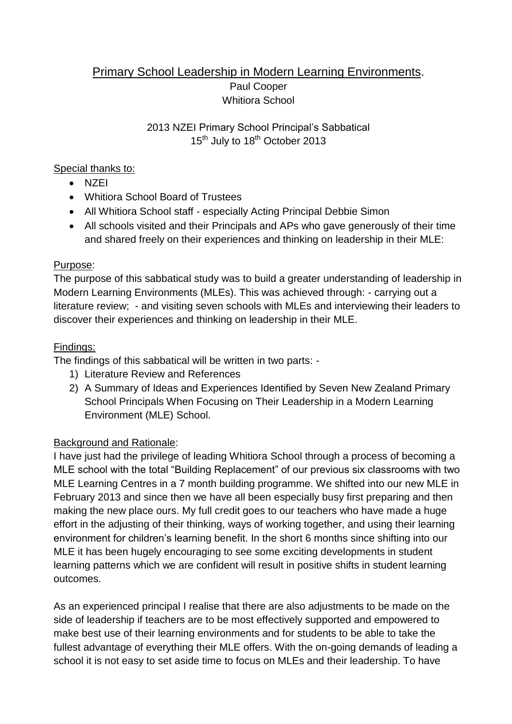## Primary School Leadership in Modern Learning Environments. Paul Cooper Whitiora School

### 2013 NZEI Primary School Principal's Sabbatical 15<sup>th</sup> July to 18<sup>th</sup> October 2013

### Special thanks to:

- $\bullet$  NZEI
- Whitiora School Board of Trustees
- All Whitiora School staff especially Acting Principal Debbie Simon
- All schools visited and their Principals and APs who gave generously of their time and shared freely on their experiences and thinking on leadership in their MLE:

### Purpose:

The purpose of this sabbatical study was to build a greater understanding of leadership in Modern Learning Environments (MLEs). This was achieved through: - carrying out a literature review; - and visiting seven schools with MLEs and interviewing their leaders to discover their experiences and thinking on leadership in their MLE.

### Findings:

The findings of this sabbatical will be written in two parts: -

- 1) Literature Review and References
- 2) A Summary of Ideas and Experiences Identified by Seven New Zealand Primary School Principals When Focusing on Their Leadership in a Modern Learning Environment (MLE) School.

## Background and Rationale:

I have just had the privilege of leading Whitiora School through a process of becoming a MLE school with the total "Building Replacement" of our previous six classrooms with two MLE Learning Centres in a 7 month building programme. We shifted into our new MLE in February 2013 and since then we have all been especially busy first preparing and then making the new place ours. My full credit goes to our teachers who have made a huge effort in the adjusting of their thinking, ways of working together, and using their learning environment for children's learning benefit. In the short 6 months since shifting into our MLE it has been hugely encouraging to see some exciting developments in student learning patterns which we are confident will result in positive shifts in student learning outcomes.

As an experienced principal I realise that there are also adjustments to be made on the side of leadership if teachers are to be most effectively supported and empowered to make best use of their learning environments and for students to be able to take the fullest advantage of everything their MLE offers. With the on-going demands of leading a school it is not easy to set aside time to focus on MLEs and their leadership. To have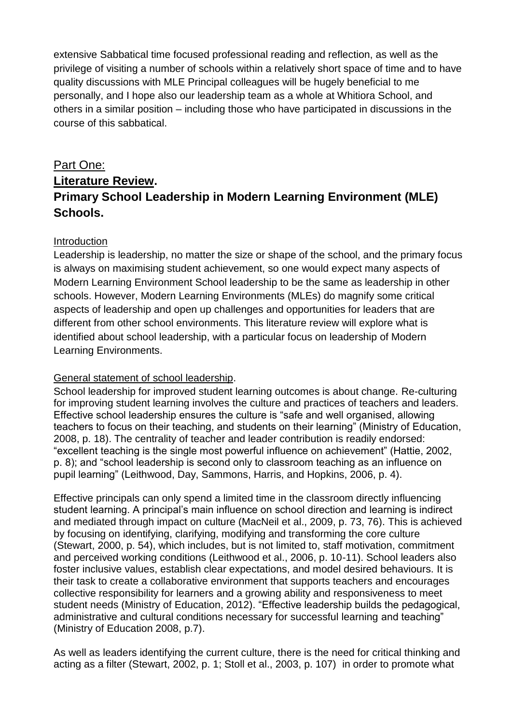extensive Sabbatical time focused professional reading and reflection, as well as the privilege of visiting a number of schools within a relatively short space of time and to have quality discussions with MLE Principal colleagues will be hugely beneficial to me personally, and I hope also our leadership team as a whole at Whitiora School, and others in a similar position – including those who have participated in discussions in the course of this sabbatical.

# Part One: **Literature Review. Primary School Leadership in Modern Learning Environment (MLE) Schools.**

### Introduction

Leadership is leadership, no matter the size or shape of the school, and the primary focus is always on maximising student achievement, so one would expect many aspects of Modern Learning Environment School leadership to be the same as leadership in other schools. However, Modern Learning Environments (MLEs) do magnify some critical aspects of leadership and open up challenges and opportunities for leaders that are different from other school environments. This literature review will explore what is identified about school leadership, with a particular focus on leadership of Modern Learning Environments.

### General statement of school leadership.

School leadership for improved student learning outcomes is about change. Re-culturing for improving student learning involves the culture and practices of teachers and leaders. Effective school leadership ensures the culture is "safe and well organised, allowing teachers to focus on their teaching, and students on their learning" (Ministry of Education, 2008, p. 18). The centrality of teacher and leader contribution is readily endorsed: "excellent teaching is the single most powerful influence on achievement" (Hattie, 2002, p. 8); and "school leadership is second only to classroom teaching as an influence on pupil learning" (Leithwood, Day, Sammons, Harris, and Hopkins, 2006, p. 4).

Effective principals can only spend a limited time in the classroom directly influencing student learning. A principal's main influence on school direction and learning is indirect and mediated through impact on culture (MacNeil et al., 2009, p. 73, 76). This is achieved by focusing on identifying, clarifying, modifying and transforming the core culture (Stewart, 2000, p. 54), which includes, but is not limited to, staff motivation, commitment and perceived working conditions (Leithwood et al., 2006, p. 10-11). School leaders also foster inclusive values, establish clear expectations, and model desired behaviours. It is their task to create a collaborative environment that supports teachers and encourages collective responsibility for learners and a growing ability and responsiveness to meet student needs (Ministry of Education, 2012). "Effective leadership builds the pedagogical, administrative and cultural conditions necessary for successful learning and teaching" (Ministry of Education 2008, p.7).

As well as leaders identifying the current culture, there is the need for critical thinking and acting as a filter (Stewart, 2002, p. 1; Stoll et al., 2003, p. 107) in order to promote what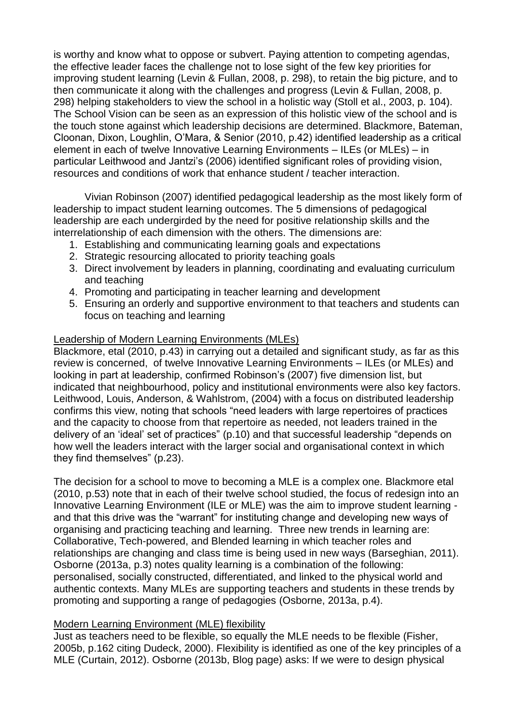is worthy and know what to oppose or subvert. Paying attention to competing agendas, the effective leader faces the challenge not to lose sight of the few key priorities for improving student learning (Levin & Fullan, 2008, p. 298), to retain the big picture, and to then communicate it along with the challenges and progress (Levin & Fullan, 2008, p. 298) helping stakeholders to view the school in a holistic way (Stoll et al., 2003, p. 104). The School Vision can be seen as an expression of this holistic view of the school and is the touch stone against which leadership decisions are determined. Blackmore, Bateman, Cloonan, Dixon, Loughlin, O'Mara, & Senior (2010, p.42) identified leadership as a critical element in each of twelve Innovative Learning Environments – ILEs (or MLEs) – in particular Leithwood and Jantzi's (2006) identified significant roles of providing vision, resources and conditions of work that enhance student / teacher interaction.

Vivian Robinson (2007) identified pedagogical leadership as the most likely form of leadership to impact student learning outcomes. The 5 dimensions of pedagogical leadership are each undergirded by the need for positive relationship skills and the interrelationship of each dimension with the others. The dimensions are:

- 1. Establishing and communicating learning goals and expectations
- 2. Strategic resourcing allocated to priority teaching goals
- 3. Direct involvement by leaders in planning, coordinating and evaluating curriculum and teaching
- 4. Promoting and participating in teacher learning and development
- 5. Ensuring an orderly and supportive environment to that teachers and students can focus on teaching and learning

#### Leadership of Modern Learning Environments (MLEs)

Blackmore, etal (2010, p.43) in carrying out a detailed and significant study, as far as this review is concerned, of twelve Innovative Learning Environments – ILEs (or MLEs) and looking in part at leadership, confirmed Robinson's (2007) five dimension list, but indicated that neighbourhood, policy and institutional environments were also key factors. Leithwood, Louis, Anderson, & Wahlstrom, (2004) with a focus on distributed leadership confirms this view, noting that schools "need leaders with large repertoires of practices and the capacity to choose from that repertoire as needed, not leaders trained in the delivery of an 'ideal' set of practices" (p.10) and that successful leadership "depends on how well the leaders interact with the larger social and organisational context in which they find themselves" (p.23).

The decision for a school to move to becoming a MLE is a complex one. Blackmore etal (2010, p.53) note that in each of their twelve school studied, the focus of redesign into an Innovative Learning Environment (ILE or MLE) was the aim to improve student learning and that this drive was the "warrant" for instituting change and developing new ways of organising and practicing teaching and learning. Three new trends in learning are: Collaborative, Tech-powered, and Blended learning in which teacher roles and relationships are changing and class time is being used in new ways (Barseghian, 2011). Osborne (2013a, p.3) notes quality learning is a combination of the following: personalised, socially constructed, differentiated, and linked to the physical world and authentic contexts. Many MLEs are supporting teachers and students in these trends by promoting and supporting a range of pedagogies (Osborne, 2013a, p.4).

#### Modern Learning Environment (MLE) flexibility

Just as teachers need to be flexible, so equally the MLE needs to be flexible (Fisher, 2005b, p.162 citing Dudeck, 2000). Flexibility is identified as one of the key principles of a MLE (Curtain, 2012). Osborne (2013b, Blog page) asks: If we were to design physical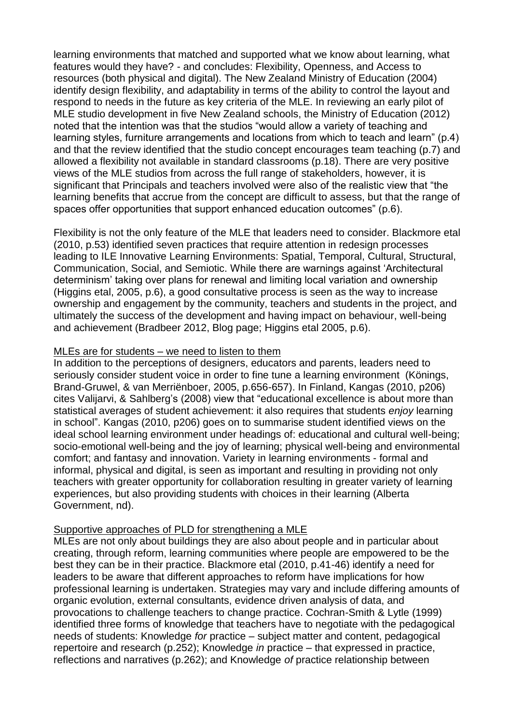learning environments that matched and supported what we know about learning, what features would they have? - and concludes: Flexibility, Openness, and Access to resources (both physical and digital). The New Zealand Ministry of Education (2004) identify design flexibility, and adaptability in terms of the ability to control the layout and respond to needs in the future as key criteria of the MLE. In reviewing an early pilot of MLE studio development in five New Zealand schools, the Ministry of Education (2012) noted that the intention was that the studios "would allow a variety of teaching and learning styles, furniture arrangements and locations from which to teach and learn" (p.4) and that the review identified that the studio concept encourages team teaching (p.7) and allowed a flexibility not available in standard classrooms (p.18). There are very positive views of the MLE studios from across the full range of stakeholders, however, it is significant that Principals and teachers involved were also of the realistic view that "the learning benefits that accrue from the concept are difficult to assess, but that the range of spaces offer opportunities that support enhanced education outcomes" (p.6).

Flexibility is not the only feature of the MLE that leaders need to consider. Blackmore etal (2010, p.53) identified seven practices that require attention in redesign processes leading to ILE Innovative Learning Environments: Spatial, Temporal, Cultural, Structural, Communication, Social, and Semiotic. While there are warnings against 'Architectural determinism' taking over plans for renewal and limiting local variation and ownership (Higgins etal, 2005, p.6), a good consultative process is seen as the way to increase ownership and engagement by the community, teachers and students in the project, and ultimately the success of the development and having impact on behaviour, well-being and achievement (Bradbeer 2012, Blog page; Higgins etal 2005, p.6).

#### MLEs are for students – we need to listen to them

In addition to the perceptions of designers, educators and parents, leaders need to seriously consider student voice in order to fine tune a learning environment (Könings, Brand-Gruwel, & van Merriënboer, 2005, p.656-657). In Finland, Kangas (2010, p206) cites Valijarvi, & Sahlberg's (2008) view that "educational excellence is about more than statistical averages of student achievement: it also requires that students *enjoy* learning in school". Kangas (2010, p206) goes on to summarise student identified views on the ideal school learning environment under headings of: educational and cultural well-being; socio-emotional well-being and the joy of learning; physical well-being and environmental comfort; and fantasy and innovation. Variety in learning environments - formal and informal, physical and digital, is seen as important and resulting in providing not only teachers with greater opportunity for collaboration resulting in greater variety of learning experiences, but also providing students with choices in their learning (Alberta Government, nd).

### Supportive approaches of PLD for strengthening a MLE

MLEs are not only about buildings they are also about people and in particular about creating, through reform, learning communities where people are empowered to be the best they can be in their practice. Blackmore etal (2010, p.41-46) identify a need for leaders to be aware that different approaches to reform have implications for how professional learning is undertaken. Strategies may vary and include differing amounts of organic evolution, external consultants, evidence driven analysis of data, and provocations to challenge teachers to change practice. Cochran-Smith & Lytle (1999) identified three forms of knowledge that teachers have to negotiate with the pedagogical needs of students: Knowledge *for* practice – subject matter and content, pedagogical repertoire and research (p.252); Knowledge *in* practice – that expressed in practice, reflections and narratives (p.262); and Knowledge *of* practice relationship between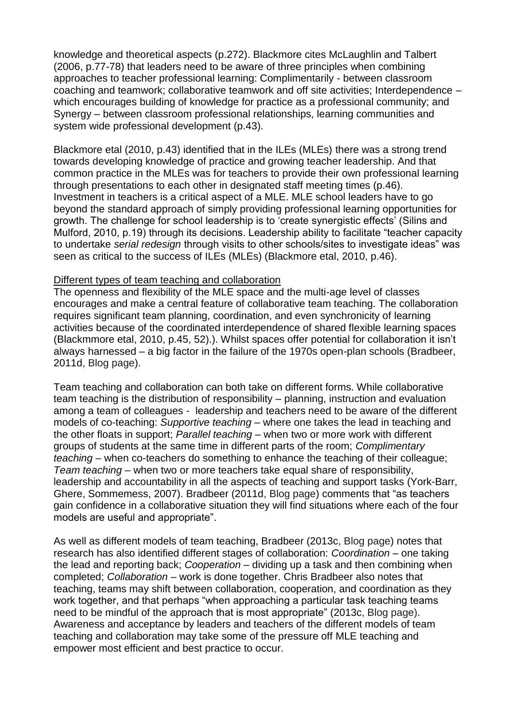knowledge and theoretical aspects (p.272). Blackmore cites McLaughlin and Talbert (2006, p.77-78) that leaders need to be aware of three principles when combining approaches to teacher professional learning: Complimentarily - between classroom coaching and teamwork; collaborative teamwork and off site activities; Interdependence – which encourages building of knowledge for practice as a professional community; and Synergy – between classroom professional relationships, learning communities and system wide professional development (p.43).

Blackmore etal (2010, p.43) identified that in the ILEs (MLEs) there was a strong trend towards developing knowledge of practice and growing teacher leadership. And that common practice in the MLEs was for teachers to provide their own professional learning through presentations to each other in designated staff meeting times (p.46). Investment in teachers is a critical aspect of a MLE. MLE school leaders have to go beyond the standard approach of simply providing professional learning opportunities for growth. The challenge for school leadership is to 'create synergistic effects' (Silins and Mulford, 2010, p.19) through its decisions. Leadership ability to facilitate "teacher capacity to undertake *serial redesign* through visits to other schools/sites to investigate ideas" was seen as critical to the success of ILEs (MLEs) (Blackmore etal, 2010, p.46).

#### Different types of team teaching and collaboration

The openness and flexibility of the MLE space and the multi-age level of classes encourages and make a central feature of collaborative team teaching. The collaboration requires significant team planning, coordination, and even synchronicity of learning activities because of the coordinated interdependence of shared flexible learning spaces (Blackmmore etal, 2010, p.45, 52).). Whilst spaces offer potential for collaboration it isn't always harnessed – a big factor in the failure of the 1970s open-plan schools (Bradbeer, 2011d, Blog page).

Team teaching and collaboration can both take on different forms. While collaborative team teaching is the distribution of responsibility – planning, instruction and evaluation among a team of colleagues - leadership and teachers need to be aware of the different models of co-teaching: *Supportive teaching* – where one takes the lead in teaching and the other floats in support; *Parallel teaching* – when two or more work with different groups of students at the same time in different parts of the room; *Complimentary teaching* – when co-teachers do something to enhance the teaching of their colleague; *Team teaching* – when two or more teachers take equal share of responsibility, leadership and accountability in all the aspects of teaching and support tasks (York-Barr, Ghere, Sommemess, 2007). Bradbeer (2011d, Blog page) comments that "as teachers gain confidence in a collaborative situation they will find situations where each of the four models are useful and appropriate".

As well as different models of team teaching, Bradbeer (2013c, Blog page) notes that research has also identified different stages of collaboration: *Coordination* – one taking the lead and reporting back; *Cooperation* – dividing up a task and then combining when completed; *Collaboration* – work is done together. Chris Bradbeer also notes that teaching, teams may shift between collaboration, cooperation, and coordination as they work together, and that perhaps "when approaching a particular task teaching teams need to be mindful of the approach that is most appropriate" (2013c, Blog page). Awareness and acceptance by leaders and teachers of the different models of team teaching and collaboration may take some of the pressure off MLE teaching and empower most efficient and best practice to occur.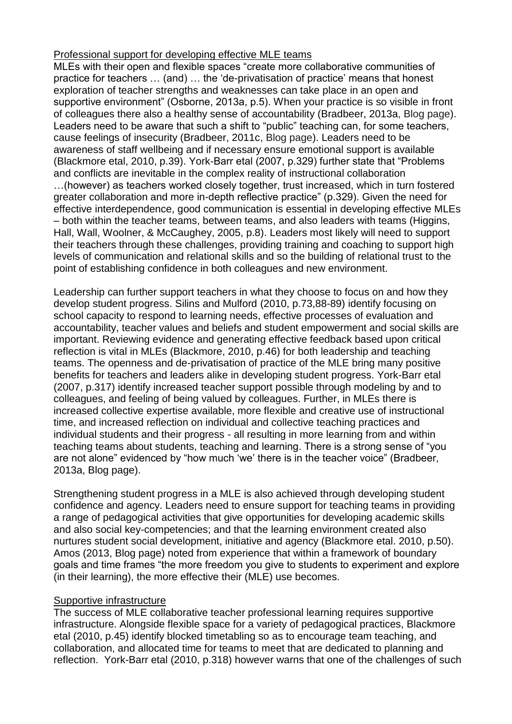#### Professional support for developing effective MLE teams

MLEs with their open and flexible spaces "create more collaborative communities of practice for teachers … (and) … the 'de-privatisation of practice' means that honest exploration of teacher strengths and weaknesses can take place in an open and supportive environment" (Osborne, 2013a, p.5). When your practice is so visible in front of colleagues there also a healthy sense of accountability (Bradbeer, 2013a, Blog page). Leaders need to be aware that such a shift to "public" teaching can, for some teachers, cause feelings of insecurity (Bradbeer, 2011c, Blog page). Leaders need to be awareness of staff wellbeing and if necessary ensure emotional support is available (Blackmore etal, 2010, p.39). York-Barr etal (2007, p.329) further state that "Problems and conflicts are inevitable in the complex reality of instructional collaboration …(however) as teachers worked closely together, trust increased, which in turn fostered greater collaboration and more in-depth reflective practice" (p.329). Given the need for effective interdependence, good communication is essential in developing effective MLEs – both within the teacher teams, between teams, and also leaders with teams (Higgins, Hall, Wall, Woolner, & McCaughey, 2005, p.8). Leaders most likely will need to support their teachers through these challenges, providing training and coaching to support high levels of communication and relational skills and so the building of relational trust to the point of establishing confidence in both colleagues and new environment.

Leadership can further support teachers in what they choose to focus on and how they develop student progress. Silins and Mulford (2010, p.73,88-89) identify focusing on school capacity to respond to learning needs, effective processes of evaluation and accountability, teacher values and beliefs and student empowerment and social skills are important. Reviewing evidence and generating effective feedback based upon critical reflection is vital in MLEs (Blackmore, 2010, p.46) for both leadership and teaching teams. The openness and de-privatisation of practice of the MLE bring many positive benefits for teachers and leaders alike in developing student progress. York-Barr etal (2007, p.317) identify increased teacher support possible through modeling by and to colleagues, and feeling of being valued by colleagues. Further, in MLEs there is increased collective expertise available, more flexible and creative use of instructional time, and increased reflection on individual and collective teaching practices and individual students and their progress - all resulting in more learning from and within teaching teams about students, teaching and learning. There is a strong sense of "you are not alone" evidenced by "how much 'we' there is in the teacher voice" (Bradbeer, 2013a, Blog page).

Strengthening student progress in a MLE is also achieved through developing student confidence and agency. Leaders need to ensure support for teaching teams in providing a range of pedagogical activities that give opportunities for developing academic skills and also social key-competencies; and that the learning environment created also nurtures student social development, initiative and agency (Blackmore etal. 2010, p.50). Amos (2013, Blog page) noted from experience that within a framework of boundary goals and time frames "the more freedom you give to students to experiment and explore (in their learning), the more effective their (MLE) use becomes.

#### Supportive infrastructure

The success of MLE collaborative teacher professional learning requires supportive infrastructure. Alongside flexible space for a variety of pedagogical practices, Blackmore etal (2010, p.45) identify blocked timetabling so as to encourage team teaching, and collaboration, and allocated time for teams to meet that are dedicated to planning and reflection. York-Barr etal (2010, p.318) however warns that one of the challenges of such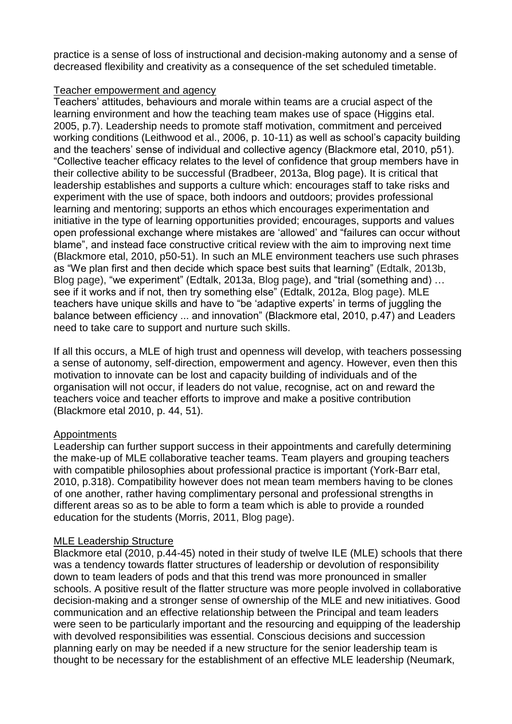practice is a sense of loss of instructional and decision-making autonomy and a sense of decreased flexibility and creativity as a consequence of the set scheduled timetable.

#### Teacher empowerment and agency

Teachers' attitudes, behaviours and morale within teams are a crucial aspect of the learning environment and how the teaching team makes use of space (Higgins etal. 2005, p.7). Leadership needs to promote staff motivation, commitment and perceived working conditions (Leithwood et al., 2006, p. 10-11) as well as school's capacity building and the teachers' sense of individual and collective agency (Blackmore etal, 2010, p51). "Collective teacher efficacy relates to the level of confidence that group members have in their collective ability to be successful (Bradbeer, 2013a, Blog page). It is critical that leadership establishes and supports a culture which: encourages staff to take risks and experiment with the use of space, both indoors and outdoors; provides professional learning and mentoring; supports an ethos which encourages experimentation and initiative in the type of learning opportunities provided; encourages, supports and values open professional exchange where mistakes are 'allowed' and "failures can occur without blame", and instead face constructive critical review with the aim to improving next time (Blackmore etal, 2010, p50-51). In such an MLE environment teachers use such phrases as "We plan first and then decide which space best suits that learning" (Edtalk, 2013b, Blog page), "we experiment" (Edtalk, 2013a, Blog page), and "trial (something and) … see if it works and if not, then try something else" (Edtalk, 2012a, Blog page). MLE teachers have unique skills and have to "be 'adaptive experts' in terms of juggling the balance between efficiency ... and innovation" (Blackmore etal, 2010, p.47) and Leaders need to take care to support and nurture such skills.

If all this occurs, a MLE of high trust and openness will develop, with teachers possessing a sense of autonomy, self-direction, empowerment and agency. However, even then this motivation to innovate can be lost and capacity building of individuals and of the organisation will not occur, if leaders do not value, recognise, act on and reward the teachers voice and teacher efforts to improve and make a positive contribution (Blackmore etal 2010, p. 44, 51).

### **Appointments**

Leadership can further support success in their appointments and carefully determining the make-up of MLE collaborative teacher teams. Team players and grouping teachers with compatible philosophies about professional practice is important (York-Barr etal, 2010, p.318). Compatibility however does not mean team members having to be clones of one another, rather having complimentary personal and professional strengths in different areas so as to be able to form a team which is able to provide a rounded education for the students (Morris, 2011, Blog page).

#### MLE Leadership Structure

Blackmore etal (2010, p.44-45) noted in their study of twelve ILE (MLE) schools that there was a tendency towards flatter structures of leadership or devolution of responsibility down to team leaders of pods and that this trend was more pronounced in smaller schools. A positive result of the flatter structure was more people involved in collaborative decision-making and a stronger sense of ownership of the MLE and new initiatives. Good communication and an effective relationship between the Principal and team leaders were seen to be particularly important and the resourcing and equipping of the leadership with devolved responsibilities was essential. Conscious decisions and succession planning early on may be needed if a new structure for the senior leadership team is thought to be necessary for the establishment of an effective MLE leadership (Neumark,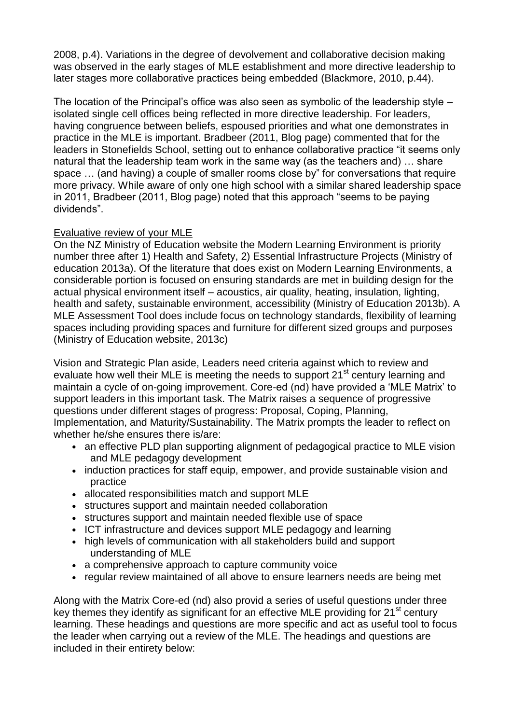2008, p.4). Variations in the degree of devolvement and collaborative decision making was observed in the early stages of MLE establishment and more directive leadership to later stages more collaborative practices being embedded (Blackmore, 2010, p.44).

The location of the Principal's office was also seen as symbolic of the leadership style – isolated single cell offices being reflected in more directive leadership. For leaders, having congruence between beliefs, espoused priorities and what one demonstrates in practice in the MLE is important. Bradbeer (2011, Blog page) commented that for the leaders in Stonefields School, setting out to enhance collaborative practice "it seems only natural that the leadership team work in the same way (as the teachers and) … share space … (and having) a couple of smaller rooms close by" for conversations that require more privacy. While aware of only one high school with a similar shared leadership space in 2011, Bradbeer (2011, Blog page) noted that this approach "seems to be paying dividends".

### Evaluative review of your MLE

On the NZ Ministry of Education website the Modern Learning Environment is priority number three after 1) Health and Safety, 2) Essential Infrastructure Projects (Ministry of education 2013a). Of the literature that does exist on Modern Learning Environments, a considerable portion is focused on ensuring standards are met in building design for the actual physical environment itself – acoustics, air quality, heating, insulation, lighting, health and safety, sustainable environment, accessibility (Ministry of Education 2013b). A MLE Assessment Tool does include focus on technology standards, flexibility of learning spaces including providing spaces and furniture for different sized groups and purposes (Ministry of Education website, 2013c)

Vision and Strategic Plan aside, Leaders need criteria against which to review and evaluate how well their MLE is meeting the needs to support 21<sup>st</sup> century learning and maintain a cycle of on-going improvement. Core-ed (nd) have provided a 'MLE Matrix' to support leaders in this important task. The Matrix raises a sequence of progressive questions under different stages of progress: Proposal, Coping, Planning, Implementation, and Maturity/Sustainability. The Matrix prompts the leader to reflect on whether he/she ensures there is/are:

- an effective PLD plan supporting alignment of pedagogical practice to MLE vision and MLE pedagogy development
- induction practices for staff equip, empower, and provide sustainable vision and practice
- allocated responsibilities match and support MLE
- structures support and maintain needed collaboration
- structures support and maintain needed flexible use of space
- ICT infrastructure and devices support MLE pedagogy and learning
- high levels of communication with all stakeholders build and support understanding of MLE
- a comprehensive approach to capture community voice
- regular review maintained of all above to ensure learners needs are being met

Along with the Matrix Core-ed (nd) also provid a series of useful questions under three key themes they identify as significant for an effective MLE providing for 21<sup>st</sup> century learning. These headings and questions are more specific and act as useful tool to focus the leader when carrying out a review of the MLE. The headings and questions are included in their entirety below: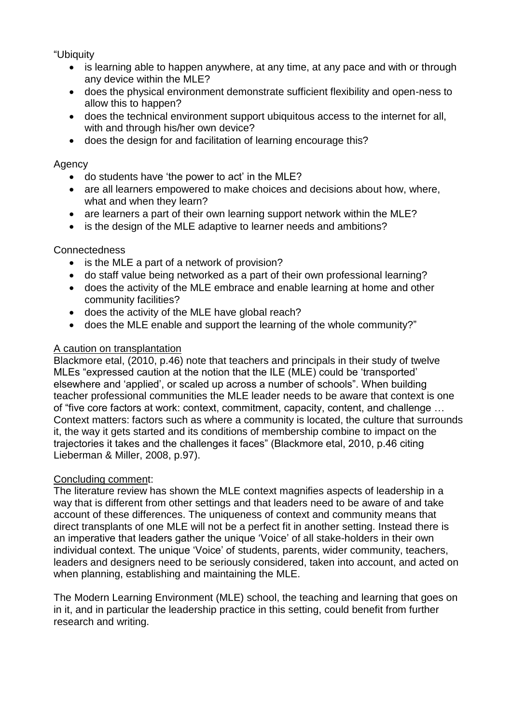"Ubiquity

- is learning able to happen anywhere, at any time, at any pace and with or through any device within the MLE?
- does the physical environment demonstrate sufficient flexibility and open-ness to allow this to happen?
- does the technical environment support ubiquitous access to the internet for all, with and through his/her own device?
- does the design for and facilitation of learning encourage this?

#### Agency

- do students have 'the power to act' in the MLE?
- are all learners empowered to make choices and decisions about how, where, what and when they learn?
- are learners a part of their own learning support network within the MLE?
- is the design of the MLE adaptive to learner needs and ambitions?

### Connectedness

- is the MLE a part of a network of provision?
- do staff value being networked as a part of their own professional learning?
- does the activity of the MLE embrace and enable learning at home and other community facilities?
- does the activity of the MLE have global reach?
- does the MLE enable and support the learning of the whole community?"

#### A caution on transplantation

Blackmore etal, (2010, p.46) note that teachers and principals in their study of twelve MLEs "expressed caution at the notion that the ILE (MLE) could be 'transported' elsewhere and 'applied', or scaled up across a number of schools". When building teacher professional communities the MLE leader needs to be aware that context is one of "five core factors at work: context, commitment, capacity, content, and challenge … Context matters: factors such as where a community is located, the culture that surrounds it, the way it gets started and its conditions of membership combine to impact on the trajectories it takes and the challenges it faces" (Blackmore etal, 2010, p.46 citing Lieberman & Miller, 2008, p.97).

### Concluding comment:

The literature review has shown the MLE context magnifies aspects of leadership in a way that is different from other settings and that leaders need to be aware of and take account of these differences. The uniqueness of context and community means that direct transplants of one MLE will not be a perfect fit in another setting. Instead there is an imperative that leaders gather the unique 'Voice' of all stake-holders in their own individual context. The unique 'Voice' of students, parents, wider community, teachers, leaders and designers need to be seriously considered, taken into account, and acted on when planning, establishing and maintaining the MLE.

The Modern Learning Environment (MLE) school, the teaching and learning that goes on in it, and in particular the leadership practice in this setting, could benefit from further research and writing.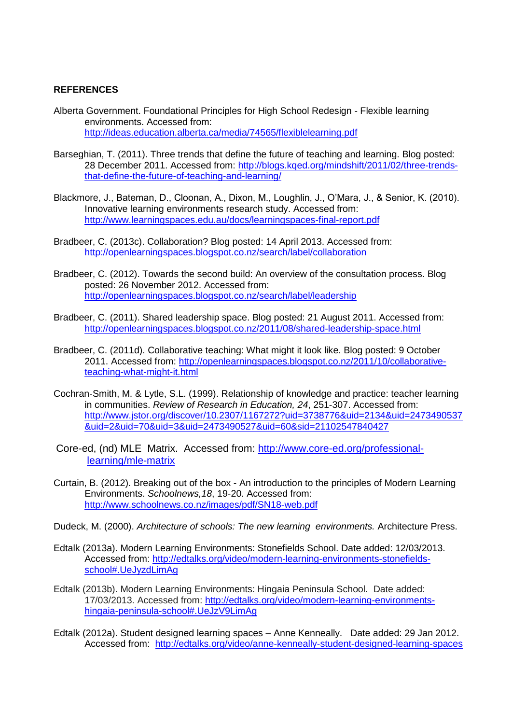#### **REFERENCES**

- Alberta Government. Foundational Principles for High School Redesign Flexible learning environments. Accessed from: <http://ideas.education.alberta.ca/media/74565/flexiblelearning.pdf>
- Barseghian, T. (2011). Three trends that define the future of teaching and learning. Blog posted: 28 December 2011. Accessed from: [http://blogs.kqed.org/mindshift/2011/02/three-trends](http://blogs.kqed.org/mindshift/2011/02/three-trends-that-define-the-future-of-teaching-and-learning/)[that-define-the-future-of-teaching-and-learning/](http://blogs.kqed.org/mindshift/2011/02/three-trends-that-define-the-future-of-teaching-and-learning/)
- Blackmore, J., Bateman, D., Cloonan, A., Dixon, M., Loughlin, J., O'Mara, J., & Senior, K. (2010). Innovative learning environments research study. Accessed from: <http://www.learningspaces.edu.au/docs/learningspaces-final-report.pdf>
- Bradbeer, C. (2013c). Collaboration? Blog posted: 14 April 2013. Accessed from: <http://openlearningspaces.blogspot.co.nz/search/label/collaboration>
- Bradbeer, C. (2012). Towards the second build: An overview of the consultation process. Blog posted: 26 November 2012. Accessed from: <http://openlearningspaces.blogspot.co.nz/search/label/leadership>
- Bradbeer, C. (2011). Shared leadership space. Blog posted: 21 August 2011. Accessed from: <http://openlearningspaces.blogspot.co.nz/2011/08/shared-leadership-space.html>
- Bradbeer, C. (2011d). Collaborative teaching: What might it look like. Blog posted: 9 October 2011. Accessed from: [http://openlearningspaces.blogspot.co.nz/2011/10/collaborative](http://openlearningspaces.blogspot.co.nz/2011/10/collaborative-teaching-what-might-it.html)[teaching-what-might-it.html](http://openlearningspaces.blogspot.co.nz/2011/10/collaborative-teaching-what-might-it.html)
- Cochran-Smith, M. & Lytle, S.L. (1999). Relationship of knowledge and practice: teacher learning in communities. *Review of Research in Education, 24*, 251-307. Accessed from: [http://www.jstor.org/discover/10.2307/1167272?uid=3738776&uid=2134&uid=2473490537](http://www.jstor.org/discover/10.2307/1167272?uid=3738776&uid=2134&uid=2473490537&uid=2&uid=70&uid=3&uid=2473490527&uid=60&sid=21102547840427) [&uid=2&uid=70&uid=3&uid=2473490527&uid=60&sid=21102547840427](http://www.jstor.org/discover/10.2307/1167272?uid=3738776&uid=2134&uid=2473490537&uid=2&uid=70&uid=3&uid=2473490527&uid=60&sid=21102547840427)
- Core-ed, (nd) MLE Matrix. Accessed from: [http://www.core-ed.org/professional](http://www.core-ed.org/professional-learning/mle-matrix)[learning/mle-matrix](http://www.core-ed.org/professional-learning/mle-matrix)
- Curtain, B. (2012). Breaking out of the box An introduction to the principles of Modern Learning Environments. *Schoolnews,18*, 19-20. Accessed from: <http://www.schoolnews.co.nz/images/pdf/SN18-web.pdf>
- Dudeck, M. (2000). *Architecture of schools: The new learning environments.* Architecture Press.
- Edtalk (2013a). Modern Learning Environments: Stonefields School. Date added: 12/03/2013. Accessed from: [http://edtalks.org/video/modern-learning-environments-stonefields](http://edtalks.org/video/modern-learning-environments-stonefields-school#.UeJyzdLimAg)[school#.UeJyzdLimAg](http://edtalks.org/video/modern-learning-environments-stonefields-school#.UeJyzdLimAg)
- Edtalk (2013b). Modern Learning Environments: Hingaia Peninsula School. Date added: 17/03/2013. Accessed from: [http://edtalks.org/video/modern-learning-environments](http://edtalks.org/video/modern-learning-environments-hingaia-peninsula-school#.UeJzV9LimAg)[hingaia-peninsula-school#.UeJzV9LimAg](http://edtalks.org/video/modern-learning-environments-hingaia-peninsula-school#.UeJzV9LimAg)
- Edtalk (2012a). Student designed learning spaces Anne Kenneally. Date added: 29 Jan 2012. Accessed from: <http://edtalks.org/video/anne-kenneally-student-designed-learning-spaces>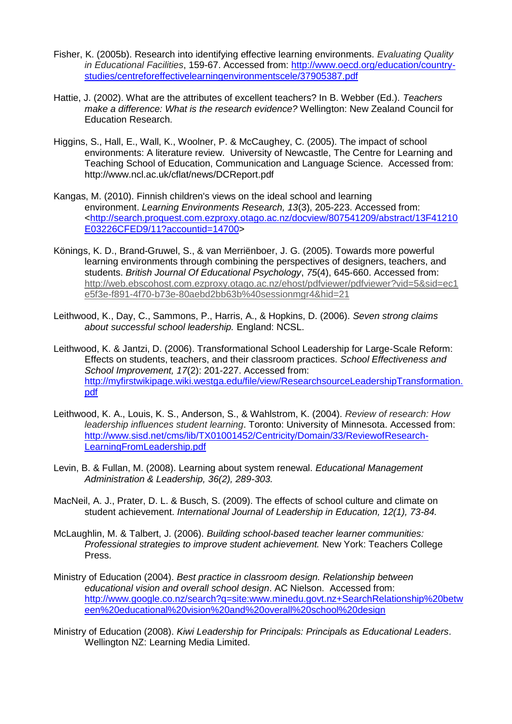- Fisher, K. (2005b). Research into identifying effective learning environments. *Evaluating Quality in Educational Facilities*, 159-67. Accessed from: [http://www.oecd.org/education/country](http://www.oecd.org/education/country-studies/centreforeffectivelearningenvironmentscele/37905387.pdf)[studies/centreforeffectivelearningenvironmentscele/37905387.pdf](http://www.oecd.org/education/country-studies/centreforeffectivelearningenvironmentscele/37905387.pdf)
- Hattie, J. (2002). What are the attributes of excellent teachers? In B. Webber (Ed.). *Teachers make a difference: What is the research evidence?* Wellington: New Zealand Council for Education Research.
- Higgins, S., Hall, E., Wall, K., Woolner, P. & McCaughey, C. (2005). The impact of school environments: A literature review. University of Newcastle, The Centre for Learning and Teaching School of Education, Communication and Language Science. Accessed from: <http://www.ncl.ac.uk/cflat/news/DCReport.pdf>
- Kangas, M. (2010). Finnish children's views on the ideal school and learning environment. *Learning Environments Research, 13*(3), 205-223. Accessed from: [<http://search.proquest.com.ezproxy.otago.ac.nz/docview/807541209/abstract/13F41210](http://search.proquest.com.ezproxy.otago.ac.nz/docview/807541209/abstract/13F41210E03226CFED9/11?accountid=14700) [E03226CFED9/11?accountid=14700>](http://search.proquest.com.ezproxy.otago.ac.nz/docview/807541209/abstract/13F41210E03226CFED9/11?accountid=14700)
- Könings, K. D., Brand-Gruwel, S., & van Merriënboer, J. G. (2005). Towards more powerful learning environments through combining the perspectives of designers, teachers, and students. *British Journal Of Educational Psychology*, *75*(4), 645-660. Accessed from: [http://web.ebscohost.com.ezproxy.otago.ac.nz/ehost/pdfviewer/pdfviewer?vid=5&sid=ec1](http://web.ebscohost.com.ezproxy.otago.ac.nz/ehost/pdfviewer/pdfviewer?vid=5&sid=ec1e5f3e-f891-4f70-b73e-80aebd2bb63b%40sessionmgr4&hid=21) [e5f3e-f891-4f70-b73e-80aebd2bb63b%40sessionmgr4&hid=21](http://web.ebscohost.com.ezproxy.otago.ac.nz/ehost/pdfviewer/pdfviewer?vid=5&sid=ec1e5f3e-f891-4f70-b73e-80aebd2bb63b%40sessionmgr4&hid=21)
- Leithwood, K., Day, C., Sammons, P., Harris, A., & Hopkins, D. (2006). *Seven strong claims about successful school leadership.* England: NCSL.
- Leithwood, K. & Jantzi, D. (2006). Transformational School Leadership for Large-Scale Reform: Effects on students, teachers, and their classroom practices. *School Effectiveness and School Improvement, 17*(2): 201-227. Accessed from: [http://myfirstwikipage.wiki.westga.edu/file/view/ResearchsourceLeadershipTransformation.](http://myfirstwikipage.wiki.westga.edu/file/view/ResearchsourceLeadershipTransformation.pdf) [pdf](http://myfirstwikipage.wiki.westga.edu/file/view/ResearchsourceLeadershipTransformation.pdf)
- Leithwood, K. A., Louis, K. S., Anderson, S., & Wahlstrom, K. (2004). *Review of research: How leadership influences student learning*. Toronto: University of Minnesota. Accessed from: [http://www.sisd.net/cms/lib/TX01001452/Centricity/Domain/33/ReviewofResearch-](http://www.sisd.net/cms/lib/TX01001452/Centricity/Domain/33/ReviewofResearch-LearningFromLeadership.pdf)[LearningFromLeadership.pdf](http://www.sisd.net/cms/lib/TX01001452/Centricity/Domain/33/ReviewofResearch-LearningFromLeadership.pdf)
- Levin, B. & Fullan, M. (2008). Learning about system renewal. *Educational Management Administration & Leadership, 36(2), 289-303.*
- MacNeil, A. J., Prater, D. L. & Busch, S. (2009). The effects of school culture and climate on student achievement. *International Journal of Leadership in Education, 12(1), 73-84.*
- McLaughlin, M. & Talbert, J. (2006). *Building school-based teacher learner communities: Professional strategies to improve student achievement.* New York: Teachers College Press.
- Ministry of Education (2004). *Best practice in classroom design. Relationship between educational vision and overall school design*. AC Nielson. Accessed from: [http://www.google.co.nz/search?q=site:www.minedu.govt.nz+SearchRelationship%20betw](http://www.google.co.nz/search?q=site:www.minedu.govt.nz+SearchRelationship%20between%20educational%20vision%20and%20overall%20school%20design) [een%20educational%20vision%20and%20overall%20school%20design](http://www.google.co.nz/search?q=site:www.minedu.govt.nz+SearchRelationship%20between%20educational%20vision%20and%20overall%20school%20design)
- Ministry of Education (2008). *Kiwi Leadership for Principals: Principals as Educational Leaders*. Wellington NZ: Learning Media Limited.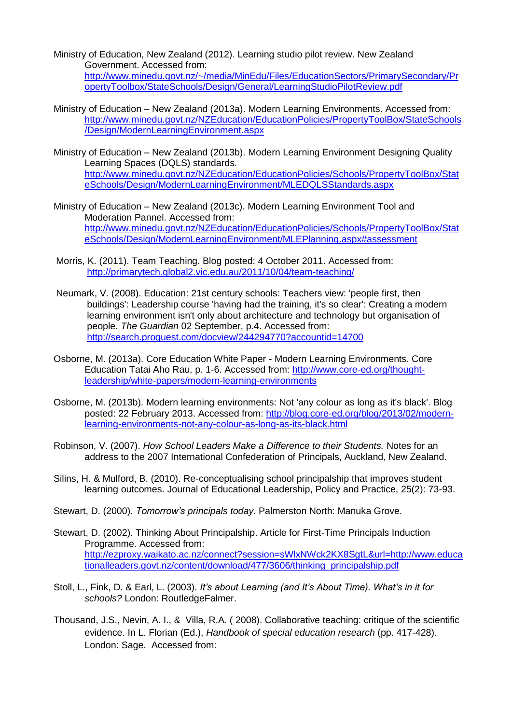- Ministry of Education, New Zealand (2012). Learning studio pilot review. New Zealand Government. Accessed from: [http://www.minedu.govt.nz/~/media/MinEdu/Files/EducationSectors/PrimarySecondary/Pr](http://www.minedu.govt.nz/~/media/MinEdu/Files/EducationSectors/PrimarySecondary/PropertyToolbox/StateSchools/Design/General/LearningStudioPilotReview.pdf) [opertyToolbox/StateSchools/Design/General/LearningStudioPilotReview.pdf](http://www.minedu.govt.nz/~/media/MinEdu/Files/EducationSectors/PrimarySecondary/PropertyToolbox/StateSchools/Design/General/LearningStudioPilotReview.pdf)
- Ministry of Education New Zealand (2013a). Modern Learning Environments. Accessed from: [http://www.minedu.govt.nz/NZEducation/EducationPolicies/PropertyToolBox/StateSchools](http://www.minedu.govt.nz/NZEducation/EducationPolicies/PropertyToolBox/StateSchools/Design/ModernLearningEnvironment.aspx) [/Design/ModernLearningEnvironment.aspx](http://www.minedu.govt.nz/NZEducation/EducationPolicies/PropertyToolBox/StateSchools/Design/ModernLearningEnvironment.aspx)
- Ministry of Education New Zealand (2013b). Modern Learning Environment Designing Quality Learning Spaces (DQLS) standards. [http://www.minedu.govt.nz/NZEducation/EducationPolicies/Schools/PropertyToolBox/Stat](http://www.minedu.govt.nz/NZEducation/EducationPolicies/Schools/PropertyToolBox/StateSchools/Design/ModernLearningEnvironment/MLEDQLSStandards.aspx) [eSchools/Design/ModernLearningEnvironment/MLEDQLSStandards.aspx](http://www.minedu.govt.nz/NZEducation/EducationPolicies/Schools/PropertyToolBox/StateSchools/Design/ModernLearningEnvironment/MLEDQLSStandards.aspx)
- Ministry of Education New Zealand (2013c). Modern Learning Environment Tool and Moderation Pannel. Accessed from: [http://www.minedu.govt.nz/NZEducation/EducationPolicies/Schools/PropertyToolBox/Stat](http://www.minedu.govt.nz/NZEducation/EducationPolicies/Schools/PropertyToolBox/StateSchools/Design/ModernLearningEnvironment/MLEPlanning.aspx#assessment) [eSchools/Design/ModernLearningEnvironment/MLEPlanning.aspx#assessment](http://www.minedu.govt.nz/NZEducation/EducationPolicies/Schools/PropertyToolBox/StateSchools/Design/ModernLearningEnvironment/MLEPlanning.aspx#assessment)
- Morris, K. (2011). Team Teaching. Blog posted: 4 October 2011. Accessed from: <http://primarytech.global2.vic.edu.au/2011/10/04/team-teaching/>
- Neumark, V. (2008). Education: 21st century schools: Teachers view: 'people first, then buildings': Leadership course 'having had the training, it's so clear': Creating a modern learning environment isn't only about architecture and technology but organisation of people. *The Guardian* 02 September, p.4. Accessed from: <http://search.proquest.com/docview/244294770?accountid=14700>
- Osborne, M. (2013a). Core Education White Paper Modern Learning Environments. Core Education Tatai Aho Rau, p. 1-6. Accessed from: [http://www.core-ed.org/thought](http://www.core-ed.org/thought-leadership/white-papers/modern-learning-environments)[leadership/white-papers/modern-learning-environments](http://www.core-ed.org/thought-leadership/white-papers/modern-learning-environments)
- Osborne, M. (2013b). Modern learning environments: Not 'any colour as long as it's black'. Blog posted: 22 February 2013. Accessed from: [http://blog.core-ed.org/blog/2013/02/modern](http://blog.core-ed.org/blog/2013/02/modern-learning-environments-not-any-colour-as-long-as-its-black.html)[learning-environments-not-any-colour-as-long-as-its-black.html](http://blog.core-ed.org/blog/2013/02/modern-learning-environments-not-any-colour-as-long-as-its-black.html)
- Robinson, V. (2007). *How School Leaders Make a Difference to their Students.* Notes for an address to the 2007 International Confederation of Principals, Auckland, New Zealand.
- Silins, H. & Mulford, B. (2010). Re-conceptualising school principalship that improves student learning outcomes. Journal of Educational Leadership, Policy and Practice, 25(2): 73-93.
- Stewart, D. (2000). *Tomorrow's principals today.* Palmerston North: Manuka Grove.
- Stewart, D. (2002). Thinking About Principalship. Article for First-Time Principals Induction Programme. Accessed from: [http://ezproxy.waikato.ac.nz/connect?session=sWlxNWck2KX8SgtL&url=http://www.educa](http://ezproxy.waikato.ac.nz/connect?session=sWlxNWck2KX8SgtL&url=http://www.educationalleaders.govt.nz/content/download/477/3606/thinking_principalship.pdf) [tionalleaders.govt.nz/content/download/477/3606/thinking\\_principalship.pdf](http://ezproxy.waikato.ac.nz/connect?session=sWlxNWck2KX8SgtL&url=http://www.educationalleaders.govt.nz/content/download/477/3606/thinking_principalship.pdf)
- Stoll, L., Fink, D. & Earl, L. (2003). *It's about Learning (and It's About Time). What's in it for schools?* London: RoutledgeFalmer.
- Thousand, J.S., Nevin, A. I., & Villa, R.A. ( 2008). Collaborative teaching: critique of the scientific evidence. In L. Florian (Ed.), *Handbook of special education research* (pp. 417-428). London: Sage. Accessed from: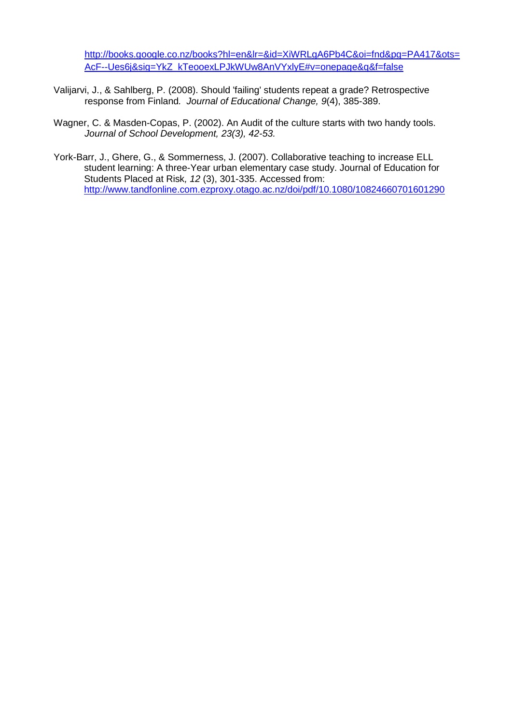[http://books.google.co.nz/books?hl=en&lr=&id=XiWRLgA6Pb4C&oi=fnd&pg=PA417&ots=](http://books.google.co.nz/books?hl=en&lr=&id=XiWRLgA6Pb4C&oi=fnd&pg=PA417&ots=AcF--Ues6j&sig=YkZ_kTeooexLPJkWUw8AnVYxlyE#v=onepage&q&f=false) [AcF--Ues6j&sig=YkZ\\_kTeooexLPJkWUw8AnVYxlyE#v=onepage&q&f=false](http://books.google.co.nz/books?hl=en&lr=&id=XiWRLgA6Pb4C&oi=fnd&pg=PA417&ots=AcF--Ues6j&sig=YkZ_kTeooexLPJkWUw8AnVYxlyE#v=onepage&q&f=false)

- Valijarvi, J., & Sahlberg, P. (2008). Should 'failing' students repeat a grade? Retrospective response from Finland*. Journal of Educational Change, 9*(4), 385-389.
- Wagner, C. & Masden-Copas, P. (2002). An Audit of the culture starts with two handy tools. *Journal of School Development, 23(3), 42-53.*
- York-Barr, J., Ghere, G., & Sommerness, J. (2007). Collaborative teaching to increase ELL student learning: A three-Year urban elementary case study. Journal of Education for Students Placed at Risk*, 12* (3), 301-335. Accessed from: <http://www.tandfonline.com.ezproxy.otago.ac.nz/doi/pdf/10.1080/10824660701601290>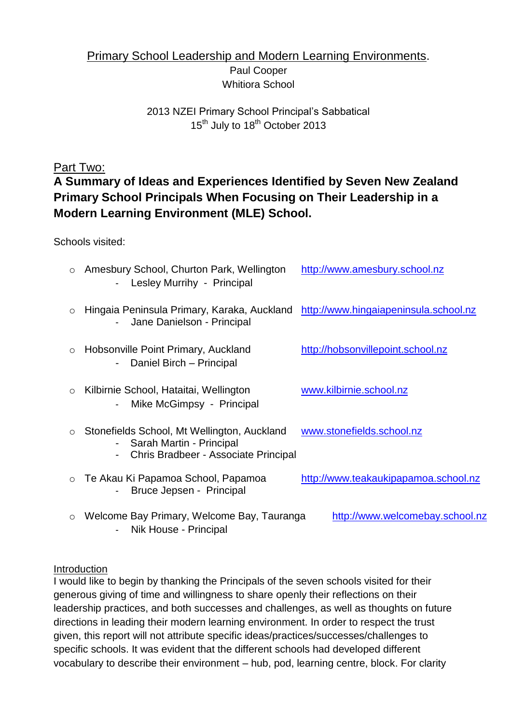## Primary School Leadership and Modern Learning Environments. Paul Cooper Whitiora School

## 2013 NZEI Primary School Principal's Sabbatical 15<sup>th</sup> July to 18<sup>th</sup> October 2013

## Part Two:

# **A Summary of Ideas and Experiences Identified by Seven New Zealand Primary School Principals When Focusing on Their Leadership in a Modern Learning Environment (MLE) School.**

Schools visited:

| $\circ$ | Amesbury School, Churton Park, Wellington<br>Lesley Murrihy - Principal                                           | http://www.amesbury.school.nz        |
|---------|-------------------------------------------------------------------------------------------------------------------|--------------------------------------|
| $\circ$ | Hingaia Peninsula Primary, Karaka, Auckland http://www.hingaiapeninsula.school.nz<br>Jane Danielson - Principal   |                                      |
| $\circ$ | Hobsonville Point Primary, Auckland<br>Daniel Birch - Principal                                                   | http://hobsonvillepoint.school.nz    |
| $\circ$ | Kilbirnie School, Hataitai, Wellington<br>Mike McGimpsy - Principal                                               | www.kilbirnie.school.nz              |
| $\circ$ | Stonefields School, Mt Wellington, Auckland<br>- Sarah Martin - Principal<br>Chris Bradbeer - Associate Principal | www.stonefields.school.nz            |
| $\circ$ | Te Akau Ki Papamoa School, Papamoa<br>Bruce Jepsen - Principal                                                    | http://www.teakaukipapamoa.school.nz |
| $\circ$ | Welcome Bay Primary, Welcome Bay, Tauranga                                                                        | http://www.welcomebay.school.nz      |

- Nik House - Principal

## Introduction

I would like to begin by thanking the Principals of the seven schools visited for their generous giving of time and willingness to share openly their reflections on their leadership practices, and both successes and challenges, as well as thoughts on future directions in leading their modern learning environment. In order to respect the trust given, this report will not attribute specific ideas/practices/successes/challenges to specific schools. It was evident that the different schools had developed different vocabulary to describe their environment – hub, pod, learning centre, block. For clarity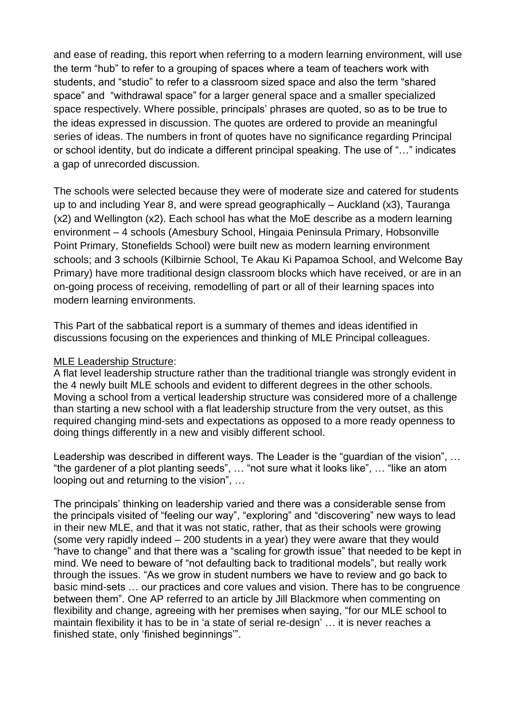and ease of reading, this report when referring to a modern learning environment, will use the term "hub" to refer to a grouping of spaces where a team of teachers work with students, and "studio" to refer to a classroom sized space and also the term "shared space" and "withdrawal space" for a larger general space and a smaller specialized space respectively. Where possible, principals' phrases are quoted, so as to be true to the ideas expressed in discussion. The quotes are ordered to provide an meaningful series of ideas. The numbers in front of quotes have no significance regarding Principal or school identity, but do indicate a different principal speaking. The use of "…" indicates a gap of unrecorded discussion.

The schools were selected because they were of moderate size and catered for students up to and including Year 8, and were spread geographically – Auckland (x3), Tauranga (x2) and Wellington (x2). Each school has what the MoE describe as a modern learning environment – 4 schools (Amesbury School, Hingaia Peninsula Primary, Hobsonville Point Primary, Stonefields School) were built new as modern learning environment schools; and 3 schools (Kilbirnie School, Te Akau Ki Papamoa School, and Welcome Bay Primary) have more traditional design classroom blocks which have received, or are in an on-going process of receiving, remodelling of part or all of their learning spaces into modern learning environments.

This Part of the sabbatical report is a summary of themes and ideas identified in discussions focusing on the experiences and thinking of MLE Principal colleagues.

#### MLE Leadership Structure:

A flat level leadership structure rather than the traditional triangle was strongly evident in the 4 newly built MLE schools and evident to different degrees in the other schools. Moving a school from a vertical leadership structure was considered more of a challenge than starting a new school with a flat leadership structure from the very outset, as this required changing mind-sets and expectations as opposed to a more ready openness to doing things differently in a new and visibly different school.

Leadership was described in different ways. The Leader is the "guardian of the vision", ... "the gardener of a plot planting seeds", … "not sure what it looks like", … "like an atom looping out and returning to the vision", …

The principals' thinking on leadership varied and there was a considerable sense from the principals visited of "feeling our way", "exploring" and "discovering" new ways to lead in their new MLE, and that it was not static, rather, that as their schools were growing (some very rapidly indeed – 200 students in a year) they were aware that they would "have to change" and that there was a "scaling for growth issue" that needed to be kept in mind. We need to beware of "not defaulting back to traditional models", but really work through the issues. "As we grow in student numbers we have to review and go back to basic mind-sets … our practices and core values and vision. There has to be congruence between them". One AP referred to an article by Jill Blackmore when commenting on flexibility and change, agreeing with her premises when saying, "for our MLE school to maintain flexibility it has to be in 'a state of serial re-design' … it is never reaches a finished state, only 'finished beginnings'".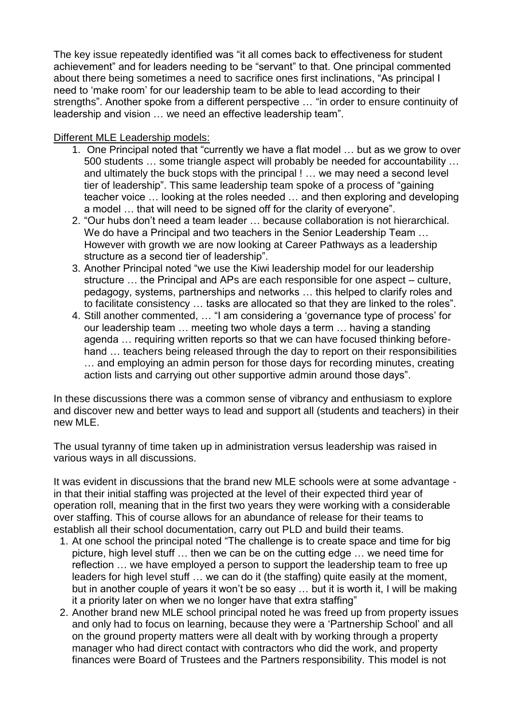The key issue repeatedly identified was "it all comes back to effectiveness for student achievement" and for leaders needing to be "servant" to that. One principal commented about there being sometimes a need to sacrifice ones first inclinations, "As principal I need to 'make room' for our leadership team to be able to lead according to their strengths". Another spoke from a different perspective … "in order to ensure continuity of leadership and vision … we need an effective leadership team".

#### Different MLE Leadership models:

- 1. One Principal noted that "currently we have a flat model … but as we grow to over 500 students … some triangle aspect will probably be needed for accountability … and ultimately the buck stops with the principal ! … we may need a second level tier of leadership". This same leadership team spoke of a process of "gaining teacher voice … looking at the roles needed … and then exploring and developing a model … that will need to be signed off for the clarity of everyone".
- 2. "Our hubs don't need a team leader … because collaboration is not hierarchical. We do have a Principal and two teachers in the Senior Leadership Team … However with growth we are now looking at Career Pathways as a leadership structure as a second tier of leadership".
- 3. Another Principal noted "we use the Kiwi leadership model for our leadership structure … the Principal and APs are each responsible for one aspect – culture, pedagogy, systems, partnerships and networks … this helped to clarify roles and to facilitate consistency … tasks are allocated so that they are linked to the roles".
- 4. Still another commented, … "I am considering a 'governance type of process' for our leadership team … meeting two whole days a term … having a standing agenda … requiring written reports so that we can have focused thinking beforehand … teachers being released through the day to report on their responsibilities … and employing an admin person for those days for recording minutes, creating action lists and carrying out other supportive admin around those days".

In these discussions there was a common sense of vibrancy and enthusiasm to explore and discover new and better ways to lead and support all (students and teachers) in their new MLE.

The usual tyranny of time taken up in administration versus leadership was raised in various ways in all discussions.

It was evident in discussions that the brand new MLE schools were at some advantage in that their initial staffing was projected at the level of their expected third year of operation roll, meaning that in the first two years they were working with a considerable over staffing. This of course allows for an abundance of release for their teams to establish all their school documentation, carry out PLD and build their teams.

- 1. At one school the principal noted "The challenge is to create space and time for big picture, high level stuff … then we can be on the cutting edge … we need time for reflection … we have employed a person to support the leadership team to free up leaders for high level stuff … we can do it (the staffing) quite easily at the moment, but in another couple of years it won't be so easy … but it is worth it, I will be making it a priority later on when we no longer have that extra staffing"
- 2. Another brand new MLE school principal noted he was freed up from property issues and only had to focus on learning, because they were a 'Partnership School' and all on the ground property matters were all dealt with by working through a property manager who had direct contact with contractors who did the work, and property finances were Board of Trustees and the Partners responsibility. This model is not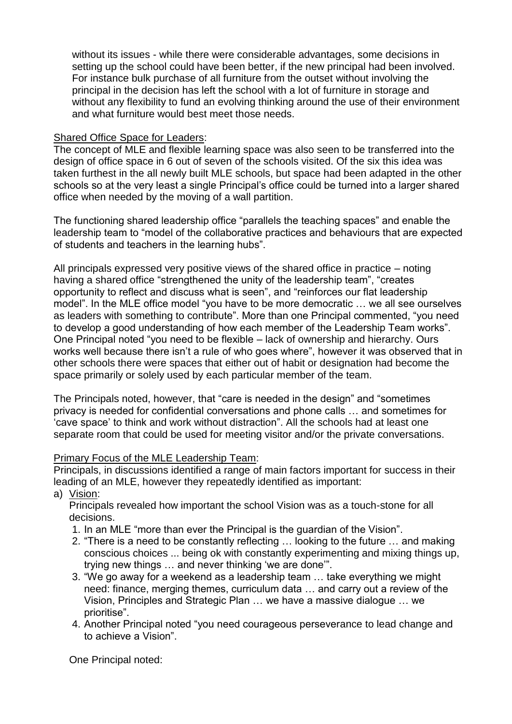without its issues - while there were considerable advantages, some decisions in setting up the school could have been better, if the new principal had been involved. For instance bulk purchase of all furniture from the outset without involving the principal in the decision has left the school with a lot of furniture in storage and without any flexibility to fund an evolving thinking around the use of their environment and what furniture would best meet those needs.

#### Shared Office Space for Leaders:

The concept of MLE and flexible learning space was also seen to be transferred into the design of office space in 6 out of seven of the schools visited. Of the six this idea was taken furthest in the all newly built MLE schools, but space had been adapted in the other schools so at the very least a single Principal's office could be turned into a larger shared office when needed by the moving of a wall partition.

The functioning shared leadership office "parallels the teaching spaces" and enable the leadership team to "model of the collaborative practices and behaviours that are expected of students and teachers in the learning hubs".

All principals expressed very positive views of the shared office in practice – noting having a shared office "strengthened the unity of the leadership team", "creates opportunity to reflect and discuss what is seen", and "reinforces our flat leadership model". In the MLE office model "you have to be more democratic … we all see ourselves as leaders with something to contribute". More than one Principal commented, "you need to develop a good understanding of how each member of the Leadership Team works". One Principal noted "you need to be flexible – lack of ownership and hierarchy. Ours works well because there isn't a rule of who goes where", however it was observed that in other schools there were spaces that either out of habit or designation had become the space primarily or solely used by each particular member of the team.

The Principals noted, however, that "care is needed in the design" and "sometimes privacy is needed for confidential conversations and phone calls … and sometimes for 'cave space' to think and work without distraction". All the schools had at least one separate room that could be used for meeting visitor and/or the private conversations.

#### Primary Focus of the MLE Leadership Team:

Principals, in discussions identified a range of main factors important for success in their leading of an MLE, however they repeatedly identified as important:

a) Vision:

Principals revealed how important the school Vision was as a touch-stone for all decisions.

- 1. In an MLE "more than ever the Principal is the guardian of the Vision".
- 2. "There is a need to be constantly reflecting … looking to the future … and making conscious choices ... being ok with constantly experimenting and mixing things up, trying new things … and never thinking 'we are done'".
- 3. "We go away for a weekend as a leadership team … take everything we might need: finance, merging themes, curriculum data … and carry out a review of the Vision, Principles and Strategic Plan … we have a massive dialogue … we prioritise".
- 4. Another Principal noted "you need courageous perseverance to lead change and to achieve a Vision".

One Principal noted: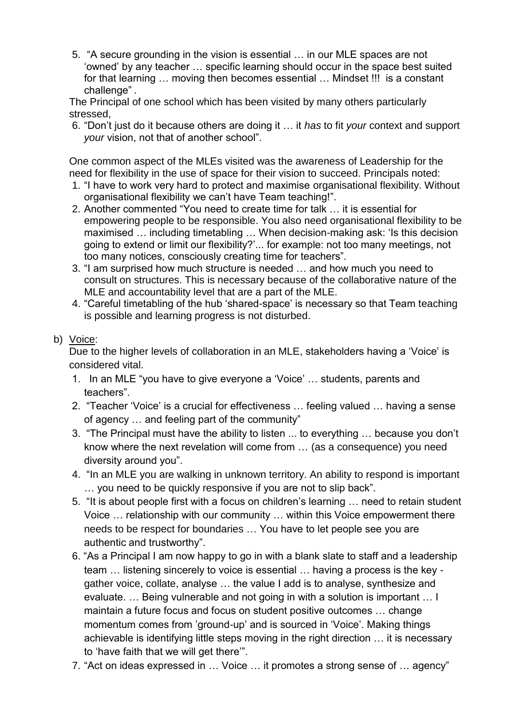5. "A secure grounding in the vision is essential … in our MLE spaces are not 'owned' by any teacher … specific learning should occur in the space best suited for that learning … moving then becomes essential … Mindset !!! is a constant challenge".

The Principal of one school which has been visited by many others particularly stressed,

6. "Don't just do it because others are doing it … it *has* to fit *your* context and support *your* vision, not that of another school".

One common aspect of the MLEs visited was the awareness of Leadership for the need for flexibility in the use of space for their vision to succeed. Principals noted:

- 1. "I have to work very hard to protect and maximise organisational flexibility. Without organisational flexibility we can't have Team teaching!".
- 2. Another commented "You need to create time for talk … it is essential for empowering people to be responsible. You also need organisational flexibility to be maximised … including timetabling … When decision-making ask: 'Is this decision going to extend or limit our flexibility?'... for example: not too many meetings, not too many notices, consciously creating time for teachers".
- 3. "I am surprised how much structure is needed … and how much you need to consult on structures. This is necessary because of the collaborative nature of the MLE and accountability level that are a part of the MLE.
- 4. "Careful timetabling of the hub 'shared-space' is necessary so that Team teaching is possible and learning progress is not disturbed.

### b) Voice:

Due to the higher levels of collaboration in an MLE, stakeholders having a 'Voice' is considered vital.

- 1. In an MLE "you have to give everyone a 'Voice' … students, parents and teachers".
- 2. "Teacher 'Voice' is a crucial for effectiveness … feeling valued … having a sense of agency … and feeling part of the community"
- 3. "The Principal must have the ability to listen ... to everything … because you don't know where the next revelation will come from … (as a consequence) you need diversity around you".
- 4. "In an MLE you are walking in unknown territory. An ability to respond is important … you need to be quickly responsive if you are not to slip back".
- 5. "It is about people first with a focus on children's learning … need to retain student Voice … relationship with our community … within this Voice empowerment there needs to be respect for boundaries … You have to let people see you are authentic and trustworthy".
- 6. "As a Principal I am now happy to go in with a blank slate to staff and a leadership team … listening sincerely to voice is essential … having a process is the key gather voice, collate, analyse … the value I add is to analyse, synthesize and evaluate. … Being vulnerable and not going in with a solution is important … I maintain a future focus and focus on student positive outcomes … change momentum comes from 'ground-up' and is sourced in 'Voice'. Making things achievable is identifying little steps moving in the right direction … it is necessary to 'have faith that we will get there'".
- 7. "Act on ideas expressed in … Voice … it promotes a strong sense of … agency"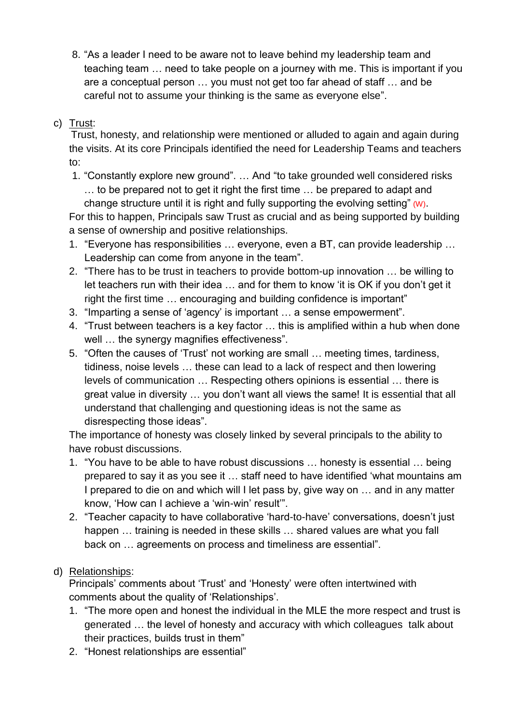8. "As a leader I need to be aware not to leave behind my leadership team and teaching team … need to take people on a journey with me. This is important if you are a conceptual person … you must not get too far ahead of staff … and be careful not to assume your thinking is the same as everyone else".

## c) Trust:

Trust, honesty, and relationship were mentioned or alluded to again and again during the visits. At its core Principals identified the need for Leadership Teams and teachers to:

1. "Constantly explore new ground". … And "to take grounded well considered risks … to be prepared not to get it right the first time … be prepared to adapt and change structure until it is right and fully supporting the evolving setting" (W).

For this to happen, Principals saw Trust as crucial and as being supported by building a sense of ownership and positive relationships.

- 1. "Everyone has responsibilities … everyone, even a BT, can provide leadership … Leadership can come from anyone in the team".
- 2. "There has to be trust in teachers to provide bottom-up innovation … be willing to let teachers run with their idea … and for them to know 'it is OK if you don't get it right the first time … encouraging and building confidence is important"
- 3. "Imparting a sense of 'agency' is important … a sense empowerment".
- 4. "Trust between teachers is a key factor … this is amplified within a hub when done well ... the synergy magnifies effectiveness".
- 5. "Often the causes of 'Trust' not working are small … meeting times, tardiness, tidiness, noise levels … these can lead to a lack of respect and then lowering levels of communication … Respecting others opinions is essential … there is great value in diversity … you don't want all views the same! It is essential that all understand that challenging and questioning ideas is not the same as disrespecting those ideas".

The importance of honesty was closely linked by several principals to the ability to have robust discussions.

- 1. "You have to be able to have robust discussions … honesty is essential … being prepared to say it as you see it … staff need to have identified 'what mountains am I prepared to die on and which will I let pass by, give way on … and in any matter know, 'How can I achieve a 'win-win' result'".
- 2. "Teacher capacity to have collaborative 'hard-to-have' conversations, doesn't just happen ... training is needed in these skills ... shared values are what you fall back on … agreements on process and timeliness are essential".

## d) Relationships:

Principals' comments about 'Trust' and 'Honesty' were often intertwined with comments about the quality of 'Relationships'.

- 1. "The more open and honest the individual in the MLE the more respect and trust is generated … the level of honesty and accuracy with which colleagues talk about their practices, builds trust in them"
- 2. "Honest relationships are essential"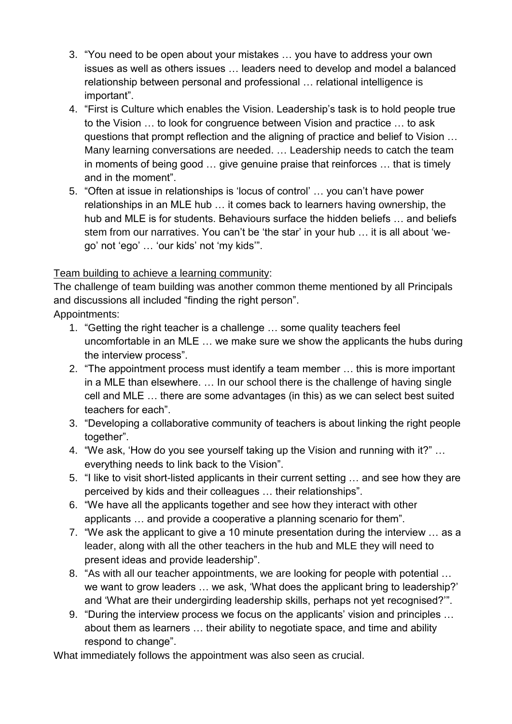- 3. "You need to be open about your mistakes … you have to address your own issues as well as others issues … leaders need to develop and model a balanced relationship between personal and professional … relational intelligence is important".
- 4. "First is Culture which enables the Vision. Leadership's task is to hold people true to the Vision … to look for congruence between Vision and practice … to ask questions that prompt reflection and the aligning of practice and belief to Vision … Many learning conversations are needed. … Leadership needs to catch the team in moments of being good … give genuine praise that reinforces … that is timely and in the moment".
- 5. "Often at issue in relationships is 'locus of control' … you can't have power relationships in an MLE hub … it comes back to learners having ownership, the hub and MLE is for students. Behaviours surface the hidden beliefs … and beliefs stem from our narratives. You can't be 'the star' in your hub … it is all about 'wego' not 'ego' … 'our kids' not 'my kids'".

## Team building to achieve a learning community:

The challenge of team building was another common theme mentioned by all Principals and discussions all included "finding the right person".

Appointments:

- 1. "Getting the right teacher is a challenge … some quality teachers feel uncomfortable in an MLE … we make sure we show the applicants the hubs during the interview process".
- 2. "The appointment process must identify a team member … this is more important in a MLE than elsewhere. … In our school there is the challenge of having single cell and MLE … there are some advantages (in this) as we can select best suited teachers for each".
- 3. "Developing a collaborative community of teachers is about linking the right people together".
- 4. "We ask, 'How do you see yourself taking up the Vision and running with it?" … everything needs to link back to the Vision".
- 5. "I like to visit short-listed applicants in their current setting … and see how they are perceived by kids and their colleagues … their relationships".
- 6. "We have all the applicants together and see how they interact with other applicants … and provide a cooperative a planning scenario for them".
- 7. "We ask the applicant to give a 10 minute presentation during the interview … as a leader, along with all the other teachers in the hub and MLE they will need to present ideas and provide leadership".
- 8. "As with all our teacher appointments, we are looking for people with potential … we want to grow leaders … we ask, 'What does the applicant bring to leadership?' and 'What are their undergirding leadership skills, perhaps not yet recognised?'".
- 9. "During the interview process we focus on the applicants' vision and principles … about them as learners … their ability to negotiate space, and time and ability respond to change".

What immediately follows the appointment was also seen as crucial.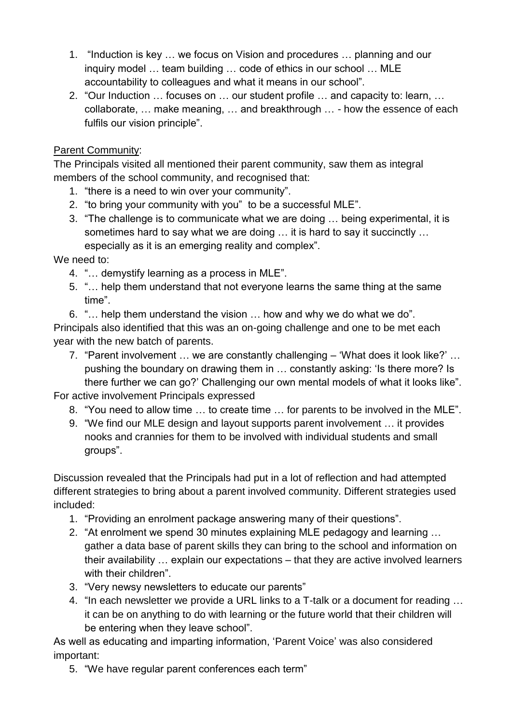- 1. "Induction is key … we focus on Vision and procedures … planning and our inquiry model … team building … code of ethics in our school … MLE accountability to colleagues and what it means in our school".
- 2. "Our Induction … focuses on … our student profile … and capacity to: learn, … collaborate, … make meaning, … and breakthrough … - how the essence of each fulfils our vision principle".

## Parent Community:

The Principals visited all mentioned their parent community, saw them as integral members of the school community, and recognised that:

- 1. "there is a need to win over your community".
- 2. "to bring your community with you" to be a successful MLE".
- 3. "The challenge is to communicate what we are doing … being experimental, it is sometimes hard to say what we are doing … it is hard to say it succinctly … especially as it is an emerging reality and complex".

We need to:

- 4. "… demystify learning as a process in MLE".
- 5. "… help them understand that not everyone learns the same thing at the same time".

6. "… help them understand the vision … how and why we do what we do". Principals also identified that this was an on-going challenge and one to be met each year with the new batch of parents.

7. "Parent involvement … we are constantly challenging – 'What does it look like?' … pushing the boundary on drawing them in … constantly asking: 'Is there more? Is there further we can go?' Challenging our own mental models of what it looks like".

For active involvement Principals expressed

- 8. "You need to allow time … to create time … for parents to be involved in the MLE".
- 9. "We find our MLE design and layout supports parent involvement … it provides nooks and crannies for them to be involved with individual students and small groups".

Discussion revealed that the Principals had put in a lot of reflection and had attempted different strategies to bring about a parent involved community. Different strategies used included:

- 1. "Providing an enrolment package answering many of their questions".
- 2. "At enrolment we spend 30 minutes explaining MLE pedagogy and learning … gather a data base of parent skills they can bring to the school and information on their availability … explain our expectations – that they are active involved learners with their children".
- 3. "Very newsy newsletters to educate our parents"
- 4. "In each newsletter we provide a URL links to a T-talk or a document for reading … it can be on anything to do with learning or the future world that their children will be entering when they leave school".

As well as educating and imparting information, 'Parent Voice' was also considered important:

5. "We have regular parent conferences each term"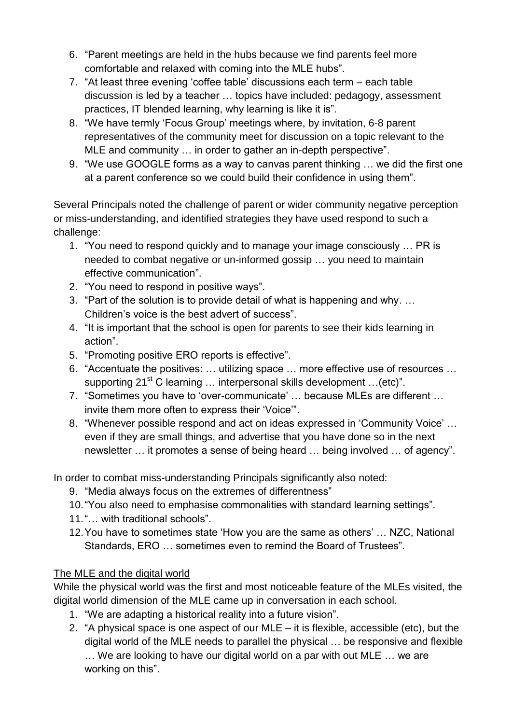- 6. "Parent meetings are held in the hubs because we find parents feel more comfortable and relaxed with coming into the MLE hubs".
- 7. "At least three evening 'coffee table' discussions each term each table discussion is led by a teacher … topics have included: pedagogy, assessment practices, IT blended learning, why learning is like it is".
- 8. "We have termly 'Focus Group' meetings where, by invitation, 6-8 parent representatives of the community meet for discussion on a topic relevant to the MLE and community … in order to gather an in-depth perspective".
- 9. "We use GOOGLE forms as a way to canvas parent thinking … we did the first one at a parent conference so we could build their confidence in using them".

Several Principals noted the challenge of parent or wider community negative perception or miss-understanding, and identified strategies they have used respond to such a challenge:

- 1. "You need to respond quickly and to manage your image consciously … PR is needed to combat negative or un-informed gossip … you need to maintain effective communication".
- 2. "You need to respond in positive ways".
- 3. "Part of the solution is to provide detail of what is happening and why. … Children's voice is the best advert of success".
- 4. "It is important that the school is open for parents to see their kids learning in action".
- 5. "Promoting positive ERO reports is effective".
- 6. "Accentuate the positives: … utilizing space … more effective use of resources … supporting 21<sup>st</sup> C learning ... interpersonal skills development ... (etc)".
- 7. "Sometimes you have to 'over-communicate' … because MLEs are different … invite them more often to express their 'Voice'".
- 8. "Whenever possible respond and act on ideas expressed in 'Community Voice' … even if they are small things, and advertise that you have done so in the next newsletter … it promotes a sense of being heard … being involved … of agency".

In order to combat miss-understanding Principals significantly also noted:

- 9. "Media always focus on the extremes of differentness"
- 10."You also need to emphasise commonalities with standard learning settings".
- 11."… with traditional schools".
- 12.You have to sometimes state 'How you are the same as others' … NZC, National Standards, ERO … sometimes even to remind the Board of Trustees".

## The MLE and the digital world

While the physical world was the first and most noticeable feature of the MLEs visited, the digital world dimension of the MLE came up in conversation in each school.

- 1. "We are adapting a historical reality into a future vision".
- 2. "A physical space is one aspect of our MLE it is flexible, accessible (etc), but the digital world of the MLE needs to parallel the physical … be responsive and flexible … We are looking to have our digital world on a par with out MLE … we are working on this".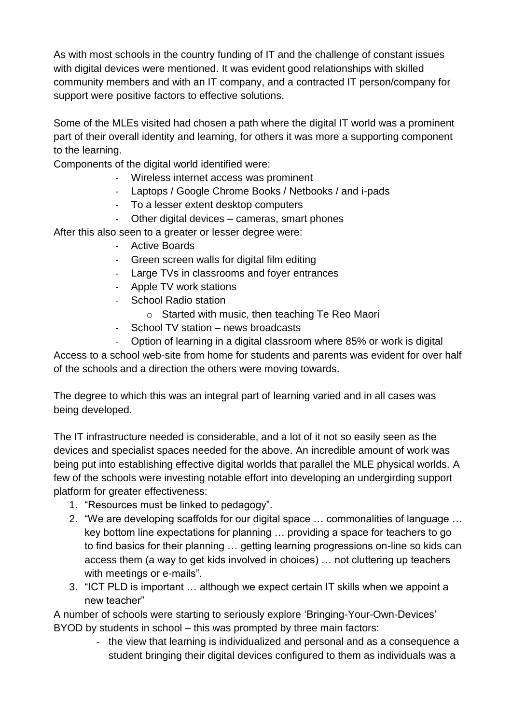As with most schools in the country funding of IT and the challenge of constant issues with digital devices were mentioned. It was evident good relationships with skilled community members and with an IT company, and a contracted IT person/company for support were positive factors to effective solutions.

Some of the MLEs visited had chosen a path where the digital IT world was a prominent part of their overall identity and learning, for others it was more a supporting component to the learning.

Components of the digital world identified were:

- Wireless internet access was prominent
- Laptops / Google Chrome Books / Netbooks / and i-pads
- To a lesser extent desktop computers
- Other digital devices cameras, smart phones

After this also seen to a greater or lesser degree were:

- Active Boards
- Green screen walls for digital film editing
- Large TVs in classrooms and foyer entrances
- Apple TV work stations
- School Radio station
	- o Started with music, then teaching Te Reo Maori
- School TV station news broadcasts
- Option of learning in a digital classroom where 85% or work is digital

Access to a school web-site from home for students and parents was evident for over half of the schools and a direction the others were moving towards.

The degree to which this was an integral part of learning varied and in all cases was being developed.

The IT infrastructure needed is considerable, and a lot of it not so easily seen as the devices and specialist spaces needed for the above. An incredible amount of work was being put into establishing effective digital worlds that parallel the MLE physical worlds. A few of the schools were investing notable effort into developing an undergirding support platform for greater effectiveness:

- 1. "Resources must be linked to pedagogy".
- 2. "We are developing scaffolds for our digital space … commonalities of language … key bottom line expectations for planning … providing a space for teachers to go to find basics for their planning … getting learning progressions on-line so kids can access them (a way to get kids involved in choices) … not cluttering up teachers with meetings or e-mails".
- 3. "ICT PLD is important … although we expect certain IT skills when we appoint a new teacher"

A number of schools were starting to seriously explore 'Bringing-Your-Own-Devices' BYOD by students in school – this was prompted by three main factors:

> - the view that learning is individualized and personal and as a consequence a student bringing their digital devices configured to them as individuals was a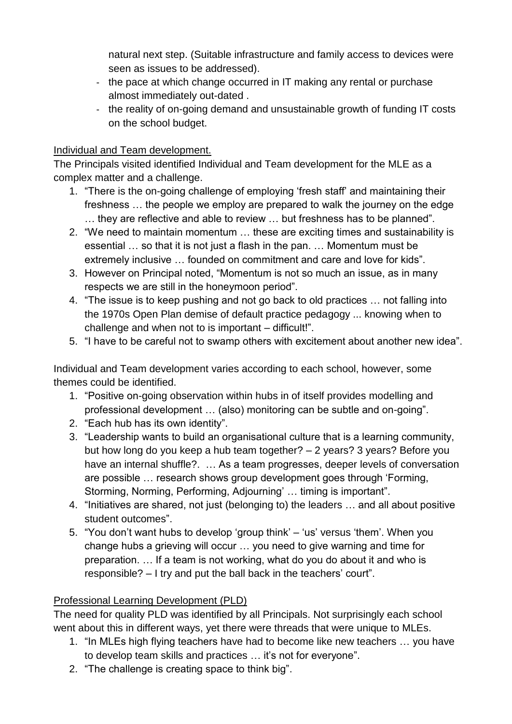natural next step. (Suitable infrastructure and family access to devices were seen as issues to be addressed).

- the pace at which change occurred in IT making any rental or purchase almost immediately out-dated .
- the reality of on-going demand and unsustainable growth of funding IT costs on the school budget.

## Individual and Team development.

The Principals visited identified Individual and Team development for the MLE as a complex matter and a challenge.

- 1. "There is the on-going challenge of employing 'fresh staff' and maintaining their freshness … the people we employ are prepared to walk the journey on the edge … they are reflective and able to review … but freshness has to be planned".
- 2. "We need to maintain momentum … these are exciting times and sustainability is essential … so that it is not just a flash in the pan. … Momentum must be extremely inclusive … founded on commitment and care and love for kids".
- 3. However on Principal noted, "Momentum is not so much an issue, as in many respects we are still in the honeymoon period".
- 4. "The issue is to keep pushing and not go back to old practices … not falling into the 1970s Open Plan demise of default practice pedagogy ... knowing when to challenge and when not to is important – difficult!".
- 5. "I have to be careful not to swamp others with excitement about another new idea".

Individual and Team development varies according to each school, however, some themes could be identified.

- 1. "Positive on-going observation within hubs in of itself provides modelling and professional development … (also) monitoring can be subtle and on-going".
- 2. "Each hub has its own identity".
- 3. "Leadership wants to build an organisational culture that is a learning community, but how long do you keep a hub team together? – 2 years? 3 years? Before you have an internal shuffle?. … As a team progresses, deeper levels of conversation are possible … research shows group development goes through 'Forming, Storming, Norming, Performing, Adjourning' … timing is important".
- 4. "Initiatives are shared, not just (belonging to) the leaders … and all about positive student outcomes".
- 5. "You don't want hubs to develop 'group think' 'us' versus 'them'. When you change hubs a grieving will occur … you need to give warning and time for preparation. … If a team is not working, what do you do about it and who is responsible? – I try and put the ball back in the teachers' court".

## Professional Learning Development (PLD)

The need for quality PLD was identified by all Principals. Not surprisingly each school went about this in different ways, yet there were threads that were unique to MLEs.

- 1. "In MLEs high flying teachers have had to become like new teachers … you have to develop team skills and practices … it's not for everyone".
- 2. "The challenge is creating space to think big".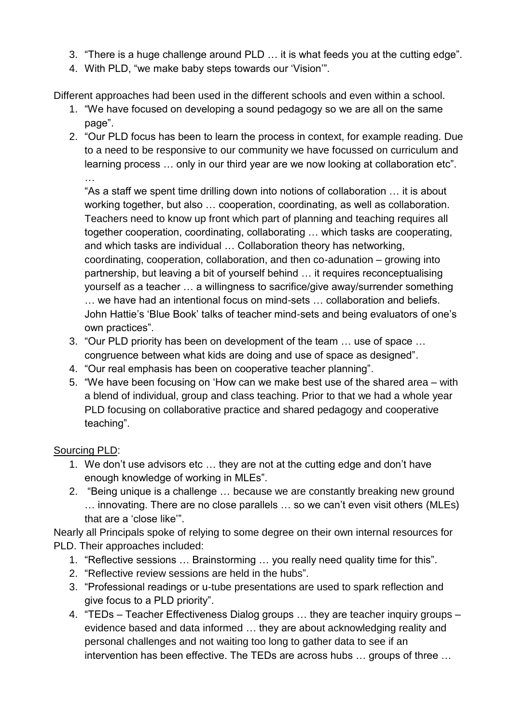- 3. "There is a huge challenge around PLD … it is what feeds you at the cutting edge".
- 4. With PLD, "we make baby steps towards our 'Vision'".

Different approaches had been used in the different schools and even within a school.

- 1. "We have focused on developing a sound pedagogy so we are all on the same page".
- 2. "Our PLD focus has been to learn the process in context, for example reading. Due to a need to be responsive to our community we have focussed on curriculum and learning process … only in our third year are we now looking at collaboration etc".

"As a staff we spent time drilling down into notions of collaboration … it is about working together, but also … cooperation, coordinating, as well as collaboration. Teachers need to know up front which part of planning and teaching requires all together cooperation, coordinating, collaborating … which tasks are cooperating, and which tasks are individual … Collaboration theory has networking, coordinating, cooperation, collaboration, and then co-adunation – growing into partnership, but leaving a bit of yourself behind … it requires reconceptualising yourself as a teacher … a willingness to sacrifice/give away/surrender something … we have had an intentional focus on mind-sets … collaboration and beliefs. John Hattie's 'Blue Book' talks of teacher mind-sets and being evaluators of one's own practices".

- 3. "Our PLD priority has been on development of the team … use of space … congruence between what kids are doing and use of space as designed".
- 4. "Our real emphasis has been on cooperative teacher planning".
- 5. "We have been focusing on 'How can we make best use of the shared area with a blend of individual, group and class teaching. Prior to that we had a whole year PLD focusing on collaborative practice and shared pedagogy and cooperative teaching".

Sourcing PLD:

…

- 1. We don't use advisors etc … they are not at the cutting edge and don't have enough knowledge of working in MLEs".
- 2. "Being unique is a challenge … because we are constantly breaking new ground … innovating. There are no close parallels … so we can't even visit others (MLEs) that are a 'close like'".

Nearly all Principals spoke of relying to some degree on their own internal resources for PLD. Their approaches included:

- 1. "Reflective sessions … Brainstorming … you really need quality time for this".
- 2. "Reflective review sessions are held in the hubs".
- 3. "Professional readings or u-tube presentations are used to spark reflection and give focus to a PLD priority".
- 4. "TEDs Teacher Effectiveness Dialog groups … they are teacher inquiry groups evidence based and data informed … they are about acknowledging reality and personal challenges and not waiting too long to gather data to see if an intervention has been effective. The TEDs are across hubs … groups of three …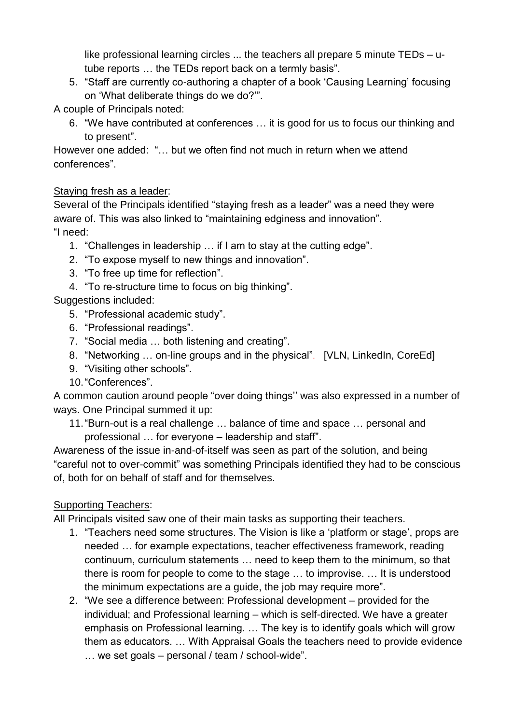like professional learning circles ... the teachers all prepare 5 minute TEDs – utube reports … the TEDs report back on a termly basis".

5. "Staff are currently co-authoring a chapter of a book 'Causing Learning' focusing on 'What deliberate things do we do?'".

A couple of Principals noted:

6. "We have contributed at conferences … it is good for us to focus our thinking and to present".

However one added: "… but we often find not much in return when we attend conferences".

## Staying fresh as a leader:

Several of the Principals identified "staying fresh as a leader" was a need they were aware of. This was also linked to "maintaining edginess and innovation". "I need:

- 1. "Challenges in leadership … if I am to stay at the cutting edge".
- 2. "To expose myself to new things and innovation".
- 3. "To free up time for reflection".
- 4. "To re-structure time to focus on big thinking".

Suggestions included:

- 5. "Professional academic study".
- 6. "Professional readings".
- 7. "Social media … both listening and creating".
- 8. "Networking ... on-line groups and in the physical". [VLN, LinkedIn, CoreEd]
- 9. "Visiting other schools".
- 10."Conferences".

A common caution around people "over doing things'' was also expressed in a number of ways. One Principal summed it up:

11."Burn-out is a real challenge … balance of time and space … personal and professional … for everyone – leadership and staff".

Awareness of the issue in-and-of-itself was seen as part of the solution, and being "careful not to over-commit" was something Principals identified they had to be conscious of, both for on behalf of staff and for themselves.

## Supporting Teachers:

All Principals visited saw one of their main tasks as supporting their teachers.

- 1. "Teachers need some structures. The Vision is like a 'platform or stage', props are needed … for example expectations, teacher effectiveness framework, reading continuum, curriculum statements … need to keep them to the minimum, so that there is room for people to come to the stage … to improvise. … It is understood the minimum expectations are a guide, the job may require more".
- 2. "We see a difference between: Professional development provided for the individual; and Professional learning – which is self-directed. We have a greater emphasis on Professional learning. … The key is to identify goals which will grow them as educators. … With Appraisal Goals the teachers need to provide evidence … we set goals – personal / team / school-wide".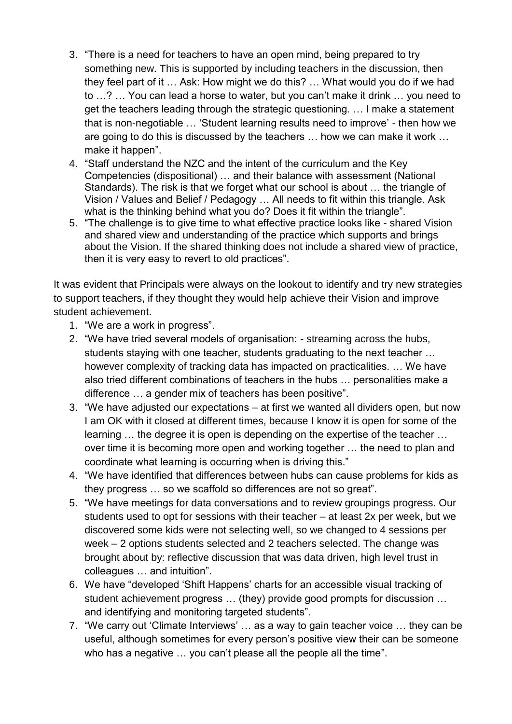- 3. "There is a need for teachers to have an open mind, being prepared to try something new. This is supported by including teachers in the discussion, then they feel part of it … Ask: How might we do this? … What would you do if we had to …? … You can lead a horse to water, but you can't make it drink … you need to get the teachers leading through the strategic questioning. … I make a statement that is non-negotiable … 'Student learning results need to improve' - then how we are going to do this is discussed by the teachers … how we can make it work … make it happen".
- 4. "Staff understand the NZC and the intent of the curriculum and the Key Competencies (dispositional) … and their balance with assessment (National Standards). The risk is that we forget what our school is about … the triangle of Vision / Values and Belief / Pedagogy … All needs to fit within this triangle. Ask what is the thinking behind what you do? Does it fit within the triangle".
- 5. "The challenge is to give time to what effective practice looks like shared Vision and shared view and understanding of the practice which supports and brings about the Vision. If the shared thinking does not include a shared view of practice, then it is very easy to revert to old practices".

It was evident that Principals were always on the lookout to identify and try new strategies to support teachers, if they thought they would help achieve their Vision and improve student achievement.

- 1. "We are a work in progress".
- 2. "We have tried several models of organisation: streaming across the hubs, students staying with one teacher, students graduating to the next teacher … however complexity of tracking data has impacted on practicalities. … We have also tried different combinations of teachers in the hubs … personalities make a difference … a gender mix of teachers has been positive".
- 3. "We have adjusted our expectations at first we wanted all dividers open, but now I am OK with it closed at different times, because I know it is open for some of the learning … the degree it is open is depending on the expertise of the teacher … over time it is becoming more open and working together … the need to plan and coordinate what learning is occurring when is driving this."
- 4. "We have identified that differences between hubs can cause problems for kids as they progress … so we scaffold so differences are not so great".
- 5. "We have meetings for data conversations and to review groupings progress. Our students used to opt for sessions with their teacher – at least 2x per week, but we discovered some kids were not selecting well, so we changed to 4 sessions per week – 2 options students selected and 2 teachers selected. The change was brought about by: reflective discussion that was data driven, high level trust in colleagues … and intuition".
- 6. We have "developed 'Shift Happens' charts for an accessible visual tracking of student achievement progress … (they) provide good prompts for discussion … and identifying and monitoring targeted students".
- 7. "We carry out 'Climate Interviews' … as a way to gain teacher voice … they can be useful, although sometimes for every person's positive view their can be someone who has a negative … you can't please all the people all the time".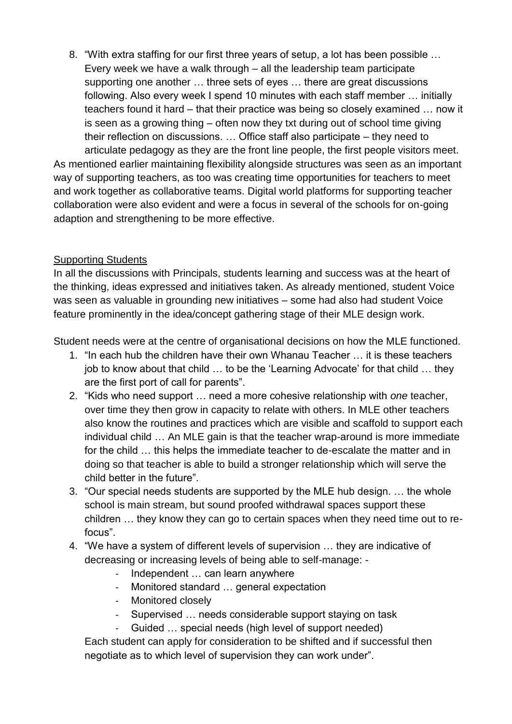8. "With extra staffing for our first three years of setup, a lot has been possible … Every week we have a walk through – all the leadership team participate supporting one another … three sets of eyes … there are great discussions following. Also every week I spend 10 minutes with each staff member … initially teachers found it hard – that their practice was being so closely examined … now it is seen as a growing thing – often now they txt during out of school time giving their reflection on discussions. … Office staff also participate – they need to

articulate pedagogy as they are the front line people, the first people visitors meet. As mentioned earlier maintaining flexibility alongside structures was seen as an important way of supporting teachers, as too was creating time opportunities for teachers to meet and work together as collaborative teams. Digital world platforms for supporting teacher collaboration were also evident and were a focus in several of the schools for on-going adaption and strengthening to be more effective.

### Supporting Students

In all the discussions with Principals, students learning and success was at the heart of the thinking, ideas expressed and initiatives taken. As already mentioned, student Voice was seen as valuable in grounding new initiatives – some had also had student Voice feature prominently in the idea/concept gathering stage of their MLE design work.

Student needs were at the centre of organisational decisions on how the MLE functioned.

- 1. "In each hub the children have their own Whanau Teacher … it is these teachers job to know about that child … to be the 'Learning Advocate' for that child … they are the first port of call for parents".
- 2. "Kids who need support … need a more cohesive relationship with *one* teacher, over time they then grow in capacity to relate with others. In MLE other teachers also know the routines and practices which are visible and scaffold to support each individual child … An MLE gain is that the teacher wrap-around is more immediate for the child … this helps the immediate teacher to de-escalate the matter and in doing so that teacher is able to build a stronger relationship which will serve the child better in the future".
- 3. "Our special needs students are supported by the MLE hub design. … the whole school is main stream, but sound proofed withdrawal spaces support these children … they know they can go to certain spaces when they need time out to refocus".
- 4. "We have a system of different levels of supervision … they are indicative of decreasing or increasing levels of being able to self-manage: -
	- Independent … can learn anywhere
	- Monitored standard … general expectation
	- Monitored closely
	- Supervised … needs considerable support staying on task
	- Guided … special needs (high level of support needed)

Each student can apply for consideration to be shifted and if successful then negotiate as to which level of supervision they can work under".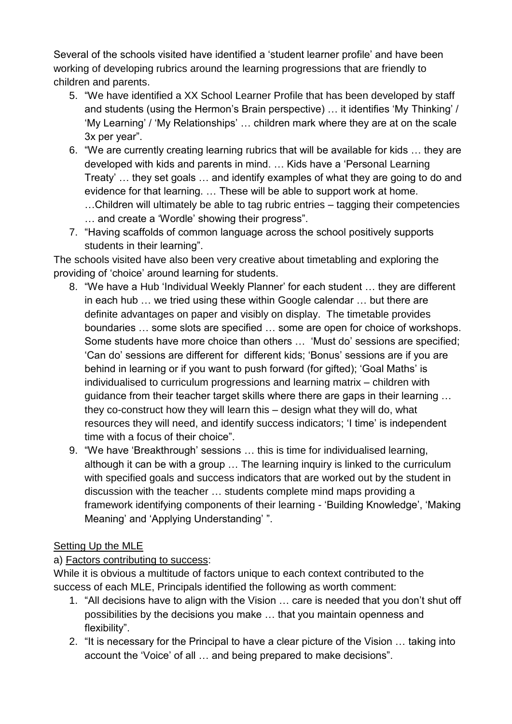Several of the schools visited have identified a 'student learner profile' and have been working of developing rubrics around the learning progressions that are friendly to children and parents.

- 5. "We have identified a XX School Learner Profile that has been developed by staff and students (using the Hermon's Brain perspective) … it identifies 'My Thinking' / 'My Learning' / 'My Relationships' … children mark where they are at on the scale 3x per year".
- 6. "We are currently creating learning rubrics that will be available for kids … they are developed with kids and parents in mind. … Kids have a 'Personal Learning Treaty' … they set goals … and identify examples of what they are going to do and evidence for that learning. … These will be able to support work at home. …Children will ultimately be able to tag rubric entries – tagging their competencies … and create a 'Wordle' showing their progress".
- 7. "Having scaffolds of common language across the school positively supports students in their learning".

The schools visited have also been very creative about timetabling and exploring the providing of 'choice' around learning for students.

- 8. "We have a Hub 'Individual Weekly Planner' for each student … they are different in each hub … we tried using these within Google calendar … but there are definite advantages on paper and visibly on display. The timetable provides boundaries … some slots are specified … some are open for choice of workshops. Some students have more choice than others … 'Must do' sessions are specified; 'Can do' sessions are different for different kids; 'Bonus' sessions are if you are behind in learning or if you want to push forward (for gifted); 'Goal Maths' is individualised to curriculum progressions and learning matrix – children with guidance from their teacher target skills where there are gaps in their learning … they co-construct how they will learn this – design what they will do, what resources they will need, and identify success indicators; 'I time' is independent time with a focus of their choice".
- 9. "We have 'Breakthrough' sessions … this is time for individualised learning, although it can be with a group … The learning inquiry is linked to the curriculum with specified goals and success indicators that are worked out by the student in discussion with the teacher … students complete mind maps providing a framework identifying components of their learning - 'Building Knowledge', 'Making Meaning' and 'Applying Understanding' ".

## Setting Up the MLE

## a) Factors contributing to success:

While it is obvious a multitude of factors unique to each context contributed to the success of each MLE, Principals identified the following as worth comment:

- 1. "All decisions have to align with the Vision … care is needed that you don't shut off possibilities by the decisions you make … that you maintain openness and flexibility".
- 2. "It is necessary for the Principal to have a clear picture of the Vision … taking into account the 'Voice' of all … and being prepared to make decisions".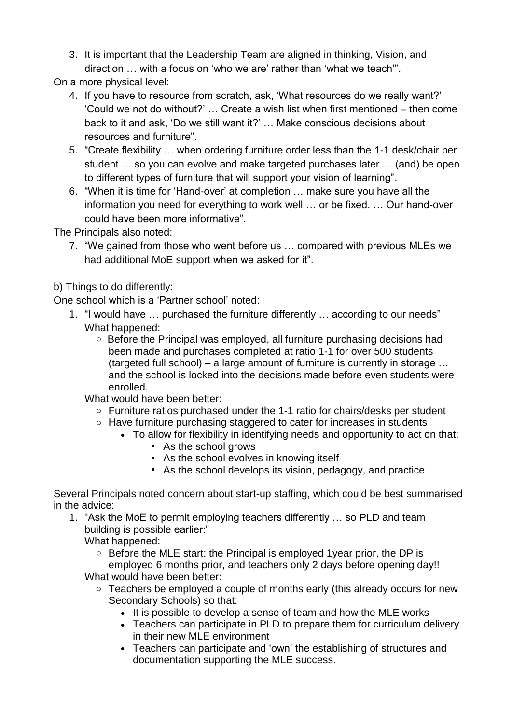3. It is important that the Leadership Team are aligned in thinking, Vision, and direction … with a focus on 'who we are' rather than 'what we teach'".

On a more physical level:

- 4. If you have to resource from scratch, ask, 'What resources do we really want?' 'Could we not do without?' … Create a wish list when first mentioned – then come back to it and ask, 'Do we still want it?' … Make conscious decisions about resources and furniture".
- 5. "Create flexibility … when ordering furniture order less than the 1-1 desk/chair per student … so you can evolve and make targeted purchases later … (and) be open to different types of furniture that will support your vision of learning".
- 6. "When it is time for 'Hand-over' at completion … make sure you have all the information you need for everything to work well … or be fixed. … Our hand-over could have been more informative".

The Principals also noted:

7. "We gained from those who went before us … compared with previous MLEs we had additional MoE support when we asked for it".

### b) Things to do differently:

One school which is a 'Partner school' noted:

- 1. "I would have … purchased the furniture differently … according to our needs" What happened:
	- o Before the Principal was employed, all furniture purchasing decisions had been made and purchases completed at ratio 1-1 for over 500 students (targeted full school) – a large amount of furniture is currently in storage … and the school is locked into the decisions made before even students were enrolled.
	- What would have been better:
		- o Furniture ratios purchased under the 1-1 ratio for chairs/desks per student
		- o Have furniture purchasing staggered to cater for increases in students
			- To allow for flexibility in identifying needs and opportunity to act on that:
				- As the school grows
				- As the school evolves in knowing itself
				- As the school develops its vision, pedagogy, and practice

Several Principals noted concern about start-up staffing, which could be best summarised in the advice:

1. "Ask the MoE to permit employing teachers differently … so PLD and team building is possible earlier:"

What happened:

- o Before the MLE start: the Principal is employed 1year prior, the DP is employed 6 months prior, and teachers only 2 days before opening day!! What would have been better:
	- Teachers be employed a couple of months early (this already occurs for new Secondary Schools) so that:
		- It is possible to develop a sense of team and how the MLE works
		- Teachers can participate in PLD to prepare them for curriculum delivery in their new MLE environment
		- Teachers can participate and 'own' the establishing of structures and documentation supporting the MLE success.